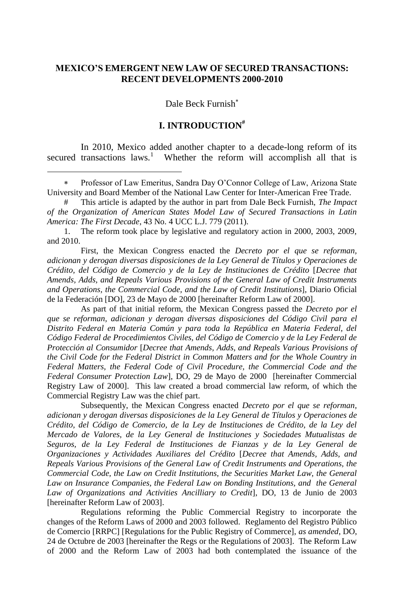## **MEXICO'S EMERGENT NEW LAW OF SECURED TRANSACTIONS: RECENT DEVELOPMENTS 2000-2010**

Dale Beck Furnish

## <span id="page-0-0"></span>**I. INTRODUCTION#**

In 2010, Mexico added another chapter to a decade-long reform of its secured transactions laws.<sup>1</sup> Whether the reform will accomplish all that is

 $\overline{a}$ 

First, the Mexican Congress enacted the *Decreto por el que se reforman, adicionan y derogan diversas disposiciones de la Ley General de Títulos y Operaciones de Crédito, del Código de Comercio y de la Ley de Instituciones de Crédito* [*Decree that Amends, Adds, and Repeals Various Provisions of the General Law of Credit Instruments and Operations, the Commercial Code, and the Law of Credit Institutions*], Diario Oficial de la Federación [DO], 23 de Mayo de 2000 [hereinafter Reform Law of 2000].

As part of that initial reform, the Mexican Congress passed the *Decreto por el que se reforman, adicionan y derogan diversas disposiciones del Código Civil para el Distrito Federal en Materia Común y para toda la República en Materia Federal, del Código Federal de Procedimientos Civiles, del Código de Comercio y de la Ley Federal de Protección al Consumidor* [*Decree that Amends, Adds, and Repeals Various Provisions of the Civil Code for the Federal District in Common Matters and for the Whole Country in Federal Matters, the Federal Code of Civil Procedure, the Commercial Code and the Federal Consumer Protection Law*], DO, 29 de Mayo de 2000 [hereinafter Commercial Registry Law of 2000]. This law created a broad commercial law reform, of which the Commercial Registry Law was the chief part.

Subsequently, the Mexican Congress enacted *Decreto por el que se reforman, adicionan y derogan diversas disposiciones de la Ley General de Títulos y Operaciones de Crédito, del Código de Comercio, de la Ley de Instituciones de Crédito, de la Ley del Mercado de Valores, de la Ley General de Instituciones y Sociedades Mutualistas de Seguros, de la Ley Federal de Instituciones de Fianzas y de la Ley General de Organizaciones y Actividades Auxiliares del Crédito* [*Decree that Amends, Adds, and Repeals Various Provisions of the General Law of Credit Instruments and Operations, the Commercial Code, the Law on Credit Institutions, the Securities Market Law, the General*  Law on Insurance Companies, the Federal Law on Bonding Institutions, and the General *Law of Organizations and Activities Ancilliary to Credit*], DO, 13 de Junio de 2003 [hereinafter Reform Law of 2003].

Regulations reforming the Public Commercial Registry to incorporate the changes of the Reform Laws of 2000 and 2003 followed. Reglamento del Registro Público de Comercio [RRPC] [Regulations for the Public Registry of Commerce], *as amended*, DO, 24 de Octubre de 2003 [hereinafter the Regs or the Regulations of 2003]. The Reform Law of 2000 and the Reform Law of 2003 had both contemplated the issuance of the

Professor of Law Emeritus, Sandra Day O'Connor College of Law, Arizona State University and Board Member of the National Law Center for Inter-American Free Trade.

<sup>#</sup> This article is adapted by the author in part from Dale Beck Furnish, *The Impact of the Organization of American States Model Law of Secured Transactions in Latin America: The First Decade*, 43 No. 4 UCC L.J. 779 (2011).

<sup>1.</sup> The reform took place by legislative and regulatory action in 2000, 2003, 2009, and 2010.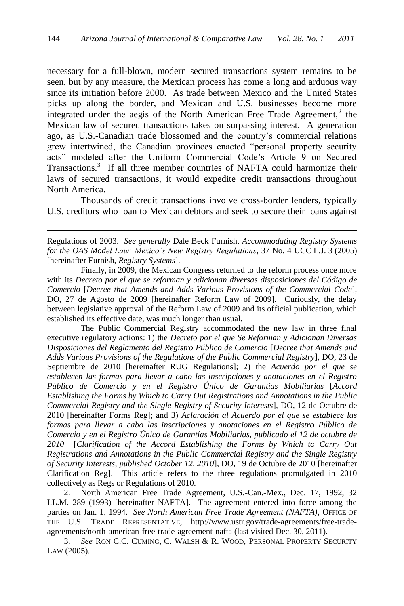necessary for a full-blown, modern secured transactions system remains to be seen, but by any measure, the Mexican process has come a long and arduous way since its initiation before 2000. As trade between Mexico and the United States picks up along the border, and Mexican and U.S. businesses become more integrated under the aegis of the North American Free Trade Agreement,<sup>2</sup> the Mexican law of secured transactions takes on surpassing interest. A generation ago, as U.S.-Canadian trade blossomed and the country's commercial relations grew intertwined, the Canadian provinces enacted "personal property security acts‖ modeled after the Uniform Commercial Code's Article 9 on Secured Transactions.<sup>3</sup> If all three member countries of NAFTA could harmonize their laws of secured transactions, it would expedite credit transactions throughout North America.

Thousands of credit transactions involve cross-border lenders, typically U.S. creditors who loan to Mexican debtors and seek to secure their loans against

Regulations of 2003. *See generally* Dale Beck Furnish, *Accommodating Registry Systems for the OAS Model Law: Mexico's New Registry Regulations*, 37 No. 4 UCC L.J. 3 (2005) [hereinafter Furnish, *Registry Systems*].

 $\overline{a}$ 

Finally, in 2009, the Mexican Congress returned to the reform process once more with its *Decreto por el que se reforman y adicionan diversas disposiciones del Código de Comercio* [*Decree that Amends and Adds Various Provisions of the Commercial Code*], DO, 27 de Agosto de 2009 [hereinafter Reform Law of 2009]. Curiously, the delay between legislative approval of the Reform Law of 2009 and its official publication, which established its effective date, was much longer than usual.

The Public Commercial Registry accommodated the new law in three final executive regulatory actions: 1) the *Decreto por el que Se Reforman y Adicionan Diversas Disposiciones del Reglamento del Registro Público de Comercio* [*Decree that Amends and Adds Various Provisions of the Regulations of the Public Commercial Registry*], DO, 23 de Septiembre de 2010 [hereinafter RUG Regulations]; 2) the *Acuerdo por el que se establecen las formas para llevar a cabo las inscripciones y anotaciones en el Registro Público de Comercio y en el Registro Único de Garantías Mobiliarias* [*Accord Establishing the Forms by Which to Carry Out Registrations and Annotations in the Public Commercial Registry and the Single Registry of Security Interests*], DO, 12 de Octubre de 2010 [hereinafter Forms Reg]; and 3) *Aclaración al Acuerdo por el que se establece las formas para llevar a cabo las inscripciones y anotaciones en el Registro Público de Comercio y en el Registro Único de Garantías Mobiliarias, publicado el 12 de octubre de 2010* [*Clarification of the Accord Establishing the Forms by Which to Carry Out Registrations and Annotations in the Public Commercial Registry and the Single Registry of Security Interests, published October 12, 2010*], DO, 19 de Octubre de 2010 [hereinafter Clarification Reg]. This article refers to the three regulations promulgated in 2010 collectively as Regs or Regulations of 2010.

2. North American Free Trade Agreement, U.S.-Can.-Mex., Dec. 17, 1992, 32 I.L.M. 289 (1993) [hereinafter NAFTA]. The agreement entered into force among the parties on Jan. 1, 1994. *See North American Free Trade Agreement (NAFTA)*, OFFICE OF THE U.S. TRADE REPRESENTATIVE, [http://www.ustr.gov/trade-agreements/free-trade](http://www.ustr.gov/trade-agreements/free-trade-agreements/north-american-free-trade-agreement-nafta)[agreements/north-american-free-trade-agreement-nafta](http://www.ustr.gov/trade-agreements/free-trade-agreements/north-american-free-trade-agreement-nafta) (last visited Dec. 30, 2011).

3. *See* RON C.C. CUMING, C. WALSH & R. WOOD, PERSONAL PROPERTY SECURITY LAW (2005).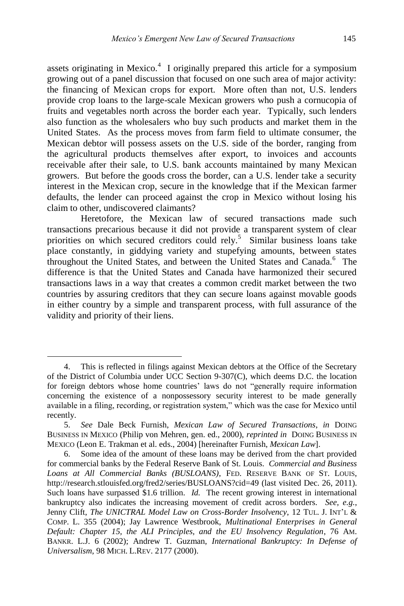assets originating in Mexico.<sup>4</sup> I originally prepared this article for a symposium growing out of a panel discussion that focused on one such area of major activity: the financing of Mexican crops for export. More often than not, U.S. lenders provide crop loans to the large-scale Mexican growers who push a cornucopia of fruits and vegetables north across the border each year. Typically, such lenders also function as the wholesalers who buy such products and market them in the United States. As the process moves from farm field to ultimate consumer, the Mexican debtor will possess assets on the U.S. side of the border, ranging from the agricultural products themselves after export, to invoices and accounts receivable after their sale, to U.S. bank accounts maintained by many Mexican growers. But before the goods cross the border, can a U.S. lender take a security interest in the Mexican crop, secure in the knowledge that if the Mexican farmer defaults, the lender can proceed against the crop in Mexico without losing his claim to other, undiscovered claimants?

Heretofore, the Mexican law of secured transactions made such transactions precarious because it did not provide a transparent system of clear priorities on which secured creditors could rely.<sup>5</sup> Similar business loans take place constantly, in giddying variety and stupefying amounts, between states throughout the United States, and between the United States and Canada.<sup>6</sup> The difference is that the United States and Canada have harmonized their secured transactions laws in a way that creates a common credit market between the two countries by assuring creditors that they can secure loans against movable goods in either country by a simple and transparent process, with full assurance of the validity and priority of their liens.

<sup>4.</sup> This is reflected in filings against Mexican debtors at the Office of the Secretary of the District of Columbia under UCC Section 9-307(C), which deems D.C. the location for foreign debtors whose home countries' laws do not "generally require information" concerning the existence of a nonpossessory security interest to be made generally available in a filing, recording, or registration system," which was the case for Mexico until recently.

<sup>5.</sup> *See* Dale Beck Furnish, *Mexican Law of Secured Transactions*, *in* DOING BUSINESS IN MEXICO (Philip von Mehren, gen. ed., 2000), *reprinted in* DOING BUSINESS IN MEXICO (Leon E. Trakman et al. eds., 2004) [hereinafter Furnish, *Mexican Law*].

<sup>6.</sup> Some idea of the amount of these loans may be derived from the chart provided for commercial banks by the Federal Reserve Bank of St. Louis. *Commercial and Business Loans at All Commercial Banks (BUSLOANS)*, FED. RESERVE BANK OF ST. LOUIS, <http://research.stlouisfed.org/fred2/series/BUSLOANS?cid=49> (last visited Dec. 26, 2011). Such loans have surpassed \$1.6 trillion. *Id.* The recent growing interest in international bankruptcy also indicates the increasing movement of credit across borders. *See, e.g.*, Jenny Clift, *The UNICTRAL Model Law on Cross-Border Insolvency*, 12 TUL. J. INT'L & COMP. L. 355 (2004); Jay Lawrence Westbrook, *Multinational Enterprises in General Default: Chapter 15, the ALI Principles, and the EU Insolvency Regulation*, 76 AM. BANKR. L.J. 6 (2002); Andrew T. Guzman, *International Bankruptcy: In Defense of Universalism*, 98 MICH. L.REV. 2177 (2000).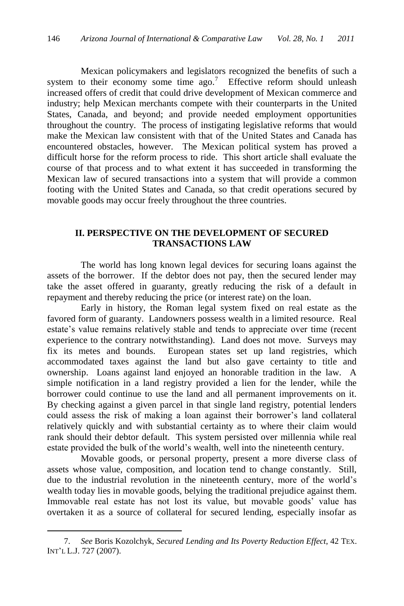Mexican policymakers and legislators recognized the benefits of such a system to their economy some time  $ago.<sup>7</sup>$  Effective reform should unleash increased offers of credit that could drive development of Mexican commerce and industry; help Mexican merchants compete with their counterparts in the United States, Canada, and beyond; and provide needed employment opportunities throughout the country. The process of instigating legislative reforms that would make the Mexican law consistent with that of the United States and Canada has encountered obstacles, however. The Mexican political system has proved a difficult horse for the reform process to ride. This short article shall evaluate the course of that process and to what extent it has succeeded in transforming the Mexican law of secured transactions into a system that will provide a common footing with the United States and Canada, so that credit operations secured by movable goods may occur freely throughout the three countries.

## **II. PERSPECTIVE ON THE DEVELOPMENT OF SECURED TRANSACTIONS LAW**

The world has long known legal devices for securing loans against the assets of the borrower. If the debtor does not pay, then the secured lender may take the asset offered in guaranty, greatly reducing the risk of a default in repayment and thereby reducing the price (or interest rate) on the loan.

Early in history, the Roman legal system fixed on real estate as the favored form of guaranty. Landowners possess wealth in a limited resource. Real estate's value remains relatively stable and tends to appreciate over time (recent experience to the contrary notwithstanding). Land does not move. Surveys may fix its metes and bounds. European states set up land registries, which accommodated taxes against the land but also gave certainty to title and ownership. Loans against land enjoyed an honorable tradition in the law. A simple notification in a land registry provided a lien for the lender, while the borrower could continue to use the land and all permanent improvements on it. By checking against a given parcel in that single land registry, potential lenders could assess the risk of making a loan against their borrower's land collateral relatively quickly and with substantial certainty as to where their claim would rank should their debtor default. This system persisted over millennia while real estate provided the bulk of the world's wealth, well into the nineteenth century.

Movable goods, or personal property, present a more diverse class of assets whose value, composition, and location tend to change constantly. Still, due to the industrial revolution in the nineteenth century, more of the world's wealth today lies in movable goods, belying the traditional prejudice against them. Immovable real estate has not lost its value, but movable goods' value has overtaken it as a source of collateral for secured lending, especially insofar as

<sup>7.</sup> *See* Boris Kozolchyk, *Secured Lending and Its Poverty Reduction Effect*, 42 TEX. INT'L L.J. 727 (2007).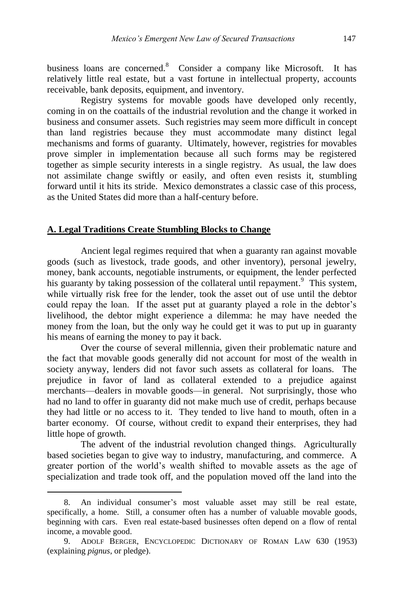business loans are concerned.<sup>8</sup> Consider a company like Microsoft. It has relatively little real estate, but a vast fortune in intellectual property, accounts receivable, bank deposits, equipment, and inventory.

Registry systems for movable goods have developed only recently, coming in on the coattails of the industrial revolution and the change it worked in business and consumer assets. Such registries may seem more difficult in concept than land registries because they must accommodate many distinct legal mechanisms and forms of guaranty. Ultimately, however, registries for movables prove simpler in implementation because all such forms may be registered together as simple security interests in a single registry. As usual, the law does not assimilate change swiftly or easily, and often even resists it, stumbling forward until it hits its stride. Mexico demonstrates a classic case of this process, as the United States did more than a half-century before.

### **A. Legal Traditions Create Stumbling Blocks to Change**

Ancient legal regimes required that when a guaranty ran against movable goods (such as livestock, trade goods, and other inventory), personal jewelry, money, bank accounts, negotiable instruments, or equipment, the lender perfected his guaranty by taking possession of the collateral until repayment.<sup>9</sup> This system, while virtually risk free for the lender, took the asset out of use until the debtor could repay the loan. If the asset put at guaranty played a role in the debtor's livelihood, the debtor might experience a dilemma: he may have needed the money from the loan, but the only way he could get it was to put up in guaranty his means of earning the money to pay it back.

Over the course of several millennia, given their problematic nature and the fact that movable goods generally did not account for most of the wealth in society anyway, lenders did not favor such assets as collateral for loans. The prejudice in favor of land as collateral extended to a prejudice against merchants—dealers in movable goods—in general. Not surprisingly, those who had no land to offer in guaranty did not make much use of credit, perhaps because they had little or no access to it. They tended to live hand to mouth, often in a barter economy. Of course, without credit to expand their enterprises, they had little hope of growth.

The advent of the industrial revolution changed things. Agriculturally based societies began to give way to industry, manufacturing, and commerce. A greater portion of the world's wealth shifted to movable assets as the age of specialization and trade took off, and the population moved off the land into the

<sup>8.</sup> An individual consumer's most valuable asset may still be real estate, specifically, a home. Still, a consumer often has a number of valuable movable goods, beginning with cars. Even real estate-based businesses often depend on a flow of rental income, a movable good.

<sup>9.</sup> ADOLF BERGER, ENCYCLOPEDIC DICTIONARY OF ROMAN LAW 630 (1953) (explaining *pignus*, or pledge).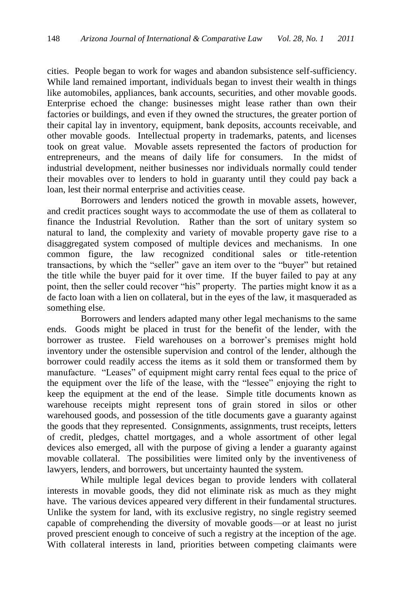cities. People began to work for wages and abandon subsistence self-sufficiency. While land remained important, individuals began to invest their wealth in things like automobiles, appliances, bank accounts, securities, and other movable goods. Enterprise echoed the change: businesses might lease rather than own their factories or buildings, and even if they owned the structures, the greater portion of their capital lay in inventory, equipment, bank deposits, accounts receivable, and other movable goods. Intellectual property in trademarks, patents, and licenses took on great value. Movable assets represented the factors of production for entrepreneurs, and the means of daily life for consumers. In the midst of industrial development, neither businesses nor individuals normally could tender their movables over to lenders to hold in guaranty until they could pay back a loan, lest their normal enterprise and activities cease.

Borrowers and lenders noticed the growth in movable assets, however, and credit practices sought ways to accommodate the use of them as collateral to finance the Industrial Revolution. Rather than the sort of unitary system so natural to land, the complexity and variety of movable property gave rise to a disaggregated system composed of multiple devices and mechanisms. In one common figure, the law recognized conditional sales or title-retention transactions, by which the "seller" gave an item over to the "buyer" but retained the title while the buyer paid for it over time. If the buyer failed to pay at any point, then the seller could recover "his" property. The parties might know it as a de facto loan with a lien on collateral, but in the eyes of the law, it masqueraded as something else.

Borrowers and lenders adapted many other legal mechanisms to the same ends. Goods might be placed in trust for the benefit of the lender, with the borrower as trustee. Field warehouses on a borrower's premises might hold inventory under the ostensible supervision and control of the lender, although the borrower could readily access the items as it sold them or transformed them by manufacture. "Leases" of equipment might carry rental fees equal to the price of the equipment over the life of the lease, with the "lessee" enjoying the right to keep the equipment at the end of the lease. Simple title documents known as warehouse receipts might represent tons of grain stored in silos or other warehoused goods, and possession of the title documents gave a guaranty against the goods that they represented. Consignments, assignments, trust receipts, letters of credit, pledges, chattel mortgages, and a whole assortment of other legal devices also emerged, all with the purpose of giving a lender a guaranty against movable collateral. The possibilities were limited only by the inventiveness of lawyers, lenders, and borrowers, but uncertainty haunted the system.

While multiple legal devices began to provide lenders with collateral interests in movable goods, they did not eliminate risk as much as they might have. The various devices appeared very different in their fundamental structures. Unlike the system for land, with its exclusive registry, no single registry seemed capable of comprehending the diversity of movable goods—or at least no jurist proved prescient enough to conceive of such a registry at the inception of the age. With collateral interests in land, priorities between competing claimants were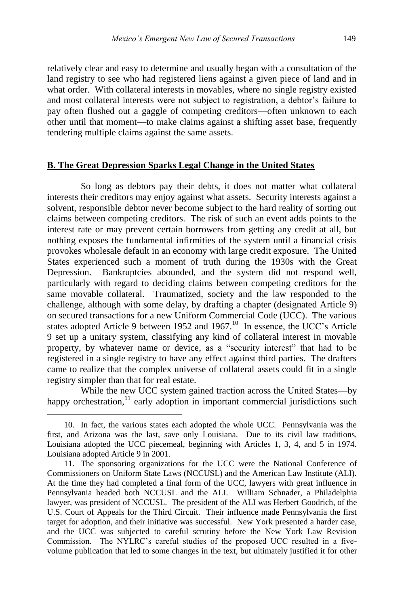relatively clear and easy to determine and usually began with a consultation of the land registry to see who had registered liens against a given piece of land and in what order. With collateral interests in movables, where no single registry existed and most collateral interests were not subject to registration, a debtor's failure to pay often flushed out a gaggle of competing creditors—often unknown to each other until that moment—to make claims against a shifting asset base, frequently tendering multiple claims against the same assets.

#### **B. The Great Depression Sparks Legal Change in the United States**

So long as debtors pay their debts, it does not matter what collateral interests their creditors may enjoy against what assets. Security interests against a solvent, responsible debtor never become subject to the hard reality of sorting out claims between competing creditors. The risk of such an event adds points to the interest rate or may prevent certain borrowers from getting any credit at all, but nothing exposes the fundamental infirmities of the system until a financial crisis provokes wholesale default in an economy with large credit exposure. The United States experienced such a moment of truth during the 1930s with the Great Depression. Bankruptcies abounded, and the system did not respond well, particularly with regard to deciding claims between competing creditors for the same movable collateral. Traumatized, society and the law responded to the challenge, although with some delay, by drafting a chapter (designated Article 9) on secured transactions for a new Uniform Commercial Code (UCC). The various states adopted Article 9 between 1952 and 1967.<sup>10</sup> In essence, the UCC's Article 9 set up a unitary system, classifying any kind of collateral interest in movable property, by whatever name or device, as a "security interest" that had to be registered in a single registry to have any effect against third parties. The drafters came to realize that the complex universe of collateral assets could fit in a single registry simpler than that for real estate.

While the new UCC system gained traction across the United States—by happy orchestration,<sup>11</sup> early adoption in important commercial jurisdictions such

<sup>10.</sup> In fact, the various states each adopted the whole UCC. Pennsylvania was the first, and Arizona was the last, save only Louisiana. Due to its civil law traditions, Louisiana adopted the UCC piecemeal, beginning with Articles 1, 3, 4, and 5 in 1974. Louisiana adopted Article 9 in 2001.

<sup>11.</sup> The sponsoring organizations for the UCC were the National Conference of Commissioners on Uniform State Laws (NCCUSL) and the American Law Institute (ALI). At the time they had completed a final form of the UCC, lawyers with great influence in Pennsylvania headed both NCCUSL and the ALI. William Schnader, a Philadelphia lawyer, was president of NCCUSL. The president of the ALI was Herbert Goodrich, of the U.S. Court of Appeals for the Third Circuit. Their influence made Pennsylvania the first target for adoption, and their initiative was successful. New York presented a harder case, and the UCC was subjected to careful scrutiny before the New York Law Revision Commission. The NYLRC's careful studies of the proposed UCC resulted in a fivevolume publication that led to some changes in the text, but ultimately justified it for other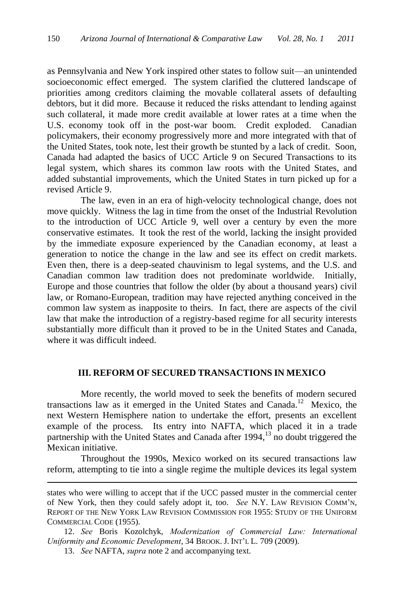as Pennsylvania and New York inspired other states to follow suit—an unintended socioeconomic effect emerged. The system clarified the cluttered landscape of priorities among creditors claiming the movable collateral assets of defaulting debtors, but it did more. Because it reduced the risks attendant to lending against such collateral, it made more credit available at lower rates at a time when the U.S. economy took off in the post-war boom. Credit exploded. Canadian policymakers, their economy progressively more and more integrated with that of the United States, took note, lest their growth be stunted by a lack of credit. Soon, Canada had adapted the basics of UCC Article 9 on Secured Transactions to its legal system, which shares its common law roots with the United States, and added substantial improvements, which the United States in turn picked up for a revised Article 9.

The law, even in an era of high-velocity technological change, does not move quickly. Witness the lag in time from the onset of the Industrial Revolution to the introduction of UCC Article 9, well over a century by even the more conservative estimates. It took the rest of the world, lacking the insight provided by the immediate exposure experienced by the Canadian economy, at least a generation to notice the change in the law and see its effect on credit markets. Even then, there is a deep-seated chauvinism to legal systems, and the U.S. and Canadian common law tradition does not predominate worldwide. Initially, Europe and those countries that follow the older (by about a thousand years) civil law, or Romano-European, tradition may have rejected anything conceived in the common law system as inapposite to theirs. In fact, there are aspects of the civil law that make the introduction of a registry-based regime for all security interests substantially more difficult than it proved to be in the United States and Canada, where it was difficult indeed.

### **III. REFORM OF SECURED TRANSACTIONS IN MEXICO**

More recently, the world moved to seek the benefits of modern secured transactions law as it emerged in the United States and Canada.<sup>12</sup> Mexico, the next Western Hemisphere nation to undertake the effort, presents an excellent example of the process. Its entry into NAFTA, which placed it in a trade partnership with the United States and Canada after 1994,<sup>13</sup> no doubt triggered the Mexican initiative.

Throughout the 1990s, Mexico worked on its secured transactions law reform, attempting to tie into a single regime the multiple devices its legal system

states who were willing to accept that if the UCC passed muster in the commercial center of New York, then they could safely adopt it, too. *See* N.Y. LAW REVISION COMM'N, REPORT OF THE NEW YORK LAW REVISION COMMISSION FOR 1955: STUDY OF THE UNIFORM COMMERCIAL CODE (1955).

<sup>12.</sup> *See* Boris Kozolchyk, *Modernization of Commercial Law: International Uniformity and Economic Development*, 34 BROOK. J. INT'L L. 709 (2009).

<sup>13.</sup> *See* NAFTA, *supra* note 2 and accompanying text.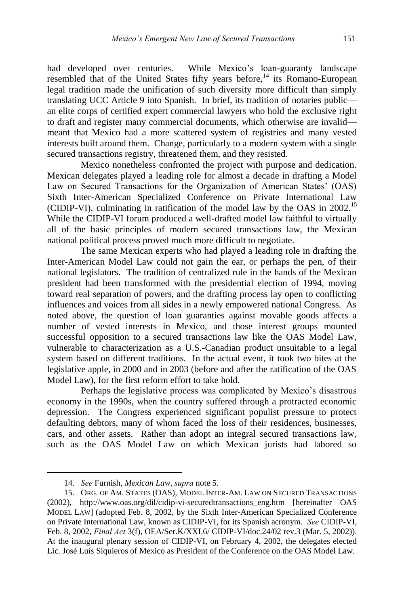had developed over centuries. While Mexico's loan-guaranty landscape resembled that of the United States fifty years before,<sup>14</sup> its Romano-European legal tradition made the unification of such diversity more difficult than simply translating UCC Article 9 into Spanish. In brief, its tradition of notaries public an elite corps of certified expert commercial lawyers who hold the exclusive right to draft and register many commercial documents, which otherwise are invalid meant that Mexico had a more scattered system of registries and many vested interests built around them. Change, particularly to a modern system with a single secured transactions registry, threatened them, and they resisted.

Mexico nonetheless confronted the project with purpose and dedication. Mexican delegates played a leading role for almost a decade in drafting a Model Law on Secured Transactions for the Organization of American States' (OAS) Sixth Inter-American Specialized Conference on Private International Law (CIDIP-VI), culminating in ratification of the model law by the OAS in 2002.<sup>15</sup> While the CIDIP-VI forum produced a well-drafted model law faithful to virtually all of the basic principles of modern secured transactions law, the Mexican national political process proved much more difficult to negotiate.

The same Mexican experts who had played a leading role in drafting the Inter-American Model Law could not gain the ear, or perhaps the pen, of their national legislators. The tradition of centralized rule in the hands of the Mexican president had been transformed with the presidential election of 1994, moving toward real separation of powers, and the drafting process lay open to conflicting influences and voices from all sides in a newly empowered national Congress. As noted above, the question of loan guaranties against movable goods affects a number of vested interests in Mexico, and those interest groups mounted successful opposition to a secured transactions law like the OAS Model Law, vulnerable to characterization as a U.S.-Canadian product unsuitable to a legal system based on different traditions. In the actual event, it took two bites at the legislative apple, in 2000 and in 2003 (before and after the ratification of the OAS Model Law), for the first reform effort to take hold.

Perhaps the legislative process was complicated by Mexico's disastrous economy in the 1990s, when the country suffered through a protracted economic depression. The Congress experienced significant populist pressure to protect defaulting debtors, many of whom faced the loss of their residences, businesses, cars, and other assets. Rather than adopt an integral secured transactions law, such as the OAS Model Law on which Mexican jurists had labored so

<sup>14.</sup> *See* Furnish, *Mexican Law*, *supra* note 5.

<sup>15.</sup> ORG. OF AM. STATES (OAS), MODEL INTER-AM. LAW ON SECURED TRANSACTIONS (2002), http://www.oas.org/dil/cidip-vi-securedtransactions\_eng.htm [hereinafter OAS MODEL LAW] (adopted Feb. 8, 2002, by the Sixth Inter-American Specialized Conference on Private International Law, known as CIDIP-VI, for its Spanish acronym. *See* CIDIP-VI, Feb. 8, 2002, *Final Act* 3(f), OEA/Ser.K/XXI.6/ CIDIP-VI/doc.24/02 rev.3 (Mar. 5, 2002))*.* At the inaugural plenary session of CIDIP-VI, on February 4, 2002, the delegates elected Lic. José Luís Siquieros of Mexico as President of the Conference on the OAS Model Law.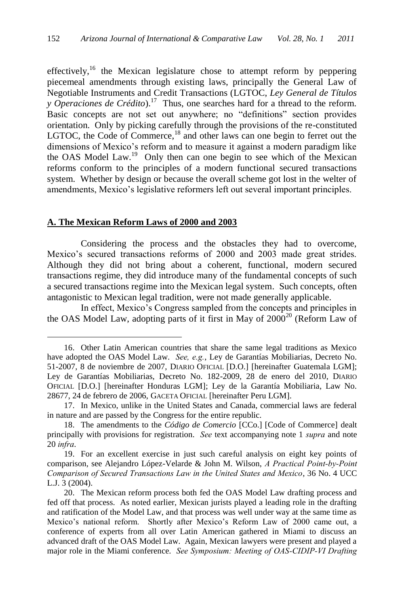effectively,<sup>16</sup> the Mexican legislature chose to attempt reform by peppering piecemeal amendments through existing laws, principally the General Law of Negotiable Instruments and Credit Transactions (LGTOC, *Ley General de Títulos y Operaciones de Crédito*).<sup>17</sup> Thus, one searches hard for a thread to the reform. Basic concepts are not set out anywhere; no "definitions" section provides orientation. Only by picking carefully through the provisions of the re-constituted LGTOC, the Code of Commerce, $18$  and other laws can one begin to ferret out the dimensions of Mexico's reform and to measure it against a modern paradigm like the OAS Model Law.<sup>19</sup> Only then can one begin to see which of the Mexican reforms conform to the principles of a modern functional secured transactions system. Whether by design or because the overall scheme got lost in the welter of amendments, Mexico's legislative reformers left out several important principles.

#### **A. The Mexican Reform Laws of 2000 and 2003**

 $\overline{a}$ 

Considering the process and the obstacles they had to overcome, Mexico's secured transactions reforms of 2000 and 2003 made great strides. Although they did not bring about a coherent, functional, modern secured transactions regime, they did introduce many of the fundamental concepts of such a secured transactions regime into the Mexican legal system. Such concepts, often antagonistic to Mexican legal tradition, were not made generally applicable.

In effect, Mexico's Congress sampled from the concepts and principles in the OAS Model Law, adopting parts of it first in May of  $2000^{20}$  (Reform Law of

<sup>16.</sup> Other Latin American countries that share the same legal traditions as Mexico have adopted the OAS Model Law. *See, e.g.*, Ley de Garantías Mobiliarias, Decreto No. 51-2007, 8 de noviembre de 2007, DIARIO OFICIAL [D.O.] [hereinafter Guatemala LGM]; Ley de Garantías Mobiliarias, Decreto No. 182-2009, 28 de enero del 2010, DIARIO OFICIAL [D.O.] [hereinafter Honduras LGM]; Ley de la Garantía Mobiliaria, Law No. 28677, 24 de febrero de 2006, GACETA OFICIAL [hereinafter Peru LGM].

<sup>17.</sup> In Mexico, unlike in the United States and Canada, commercial laws are federal in nature and are passed by the Congress for the entire republic.

<sup>18.</sup> The amendments to the *Código de Comercio* [CCo.] [Code of Commerce] dealt principally with provisions for registration. *See* text accompanying note 1 *supra* and note 20 *infra*.

<sup>19.</sup> For an excellent exercise in just such careful analysis on eight key points of comparison, see Alejandro López-Velarde & John M. Wilson, *A Practical Point-by-Point Comparison of Secured Transactions Law in the United States and Mexico*, 36 No. 4 UCC L.J. 3 (2004).

<sup>20.</sup> The Mexican reform process both fed the OAS Model Law drafting process and fed off that process. As noted earlier, Mexican jurists played a leading role in the drafting and ratification of the Model Law, and that process was well under way at the same time as Mexico's national reform. Shortly after Mexico's Reform Law of 2000 came out, a conference of experts from all over Latin American gathered in Miami to discuss an advanced draft of the OAS Model Law. Again, Mexican lawyers were present and played a major role in the Miami conference. *See Symposium: Meeting of OAS-CIDIP-VI Drafting*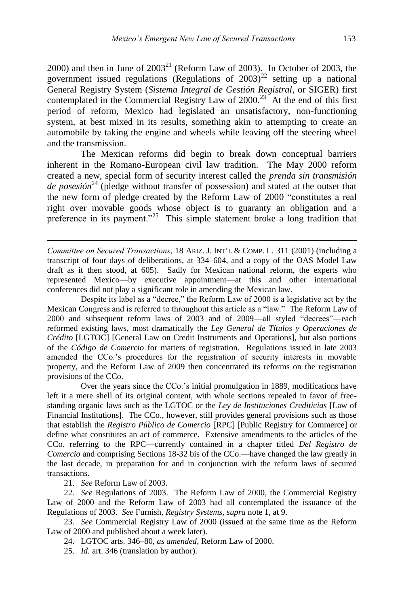2000) and then in June of  $2003^{21}$  (Reform Law of 2003). In October of 2003, the government issued regulations (Regulations of  $2003)^{22}$  setting up a national General Registry System (*Sistema Integral de Gestión Registral*, or SIGER) first contemplated in the Commercial Registry Law of  $2000.<sup>23</sup>$  At the end of this first period of reform, Mexico had legislated an unsatisfactory, non-functioning system, at best mixed in its results, something akin to attempting to create an automobile by taking the engine and wheels while leaving off the steering wheel and the transmission.

The Mexican reforms did begin to break down conceptual barriers inherent in the Romano-European civil law tradition. The May 2000 reform created a new, special form of security interest called the *prenda sin transmisión de posesión*<sup>24</sup> (pledge without transfer of possession) and stated at the outset that the new form of pledge created by the Reform Law of 2000 "constitutes a real right over movable goods whose object is to guaranty an obligation and a preference in its payment."<sup>25</sup> This simple statement broke a long tradition that

*Committee on Secured Transactions*, 18 ARIZ. J. INT'L & COMP. L. 311 (2001) (including a transcript of four days of deliberations, at 334–604, and a copy of the OAS Model Law draft as it then stood, at 605). Sadly for Mexican national reform, the experts who represented Mexico—by executive appointment—at this and other international conferences did not play a significant role in amending the Mexican law.

Despite its label as a "decree," the Reform Law of 2000 is a legislative act by the Mexican Congress and is referred to throughout this article as a "law." The Reform Law of 2000 and subsequent reform laws of 2003 and of 2009—all styled "decrees"—each reformed existing laws, most dramatically the *Ley General de Títulos y Operaciones de Crédito* [LGTOC] [General Law on Credit Instruments and Operations], but also portions of the *Código de Comercio* for matters of registration. Regulations issued in late 2003 amended the CCo.'s procedures for the registration of security interests in movable property, and the Reform Law of 2009 then concentrated its reforms on the registration provisions of the CCo.

Over the years since the CCo.'s initial promulgation in 1889, modifications have left it a mere shell of its original content, with whole sections repealed in favor of freestanding organic laws such as the LGTOC or the *Ley de Instituciones Crediticias* [Law of Financial Institutions]. The CCo., however, still provides general provisions such as those that establish the *Registro Público de Comercio* [RPC] [Public Registry for Commerce] or define what constitutes an act of commerce. Extensive amendments to the articles of the CCo. referring to the RPC—currently contained in a chapter titled *Del Registro de Comercio* and comprising Sections 18-32 bis of the CCo.—have changed the law greatly in the last decade, in preparation for and in conjunction with the reform laws of secured transactions.

21. *See* Reform Law of 2003.

 $\overline{a}$ 

22*. See* Regulations of 2003. The Reform Law of 2000, the Commercial Registry Law of 2000 and the Reform Law of 2003 had all contemplated the issuance of the Regulations of 2003. *See* Furnish, *Registry Systems*, *supra* note 1, at 9.

23. *See* Commercial Registry Law of 2000 (issued at the same time as the Reform Law of 2000 and published about a week later).

24. LGTOC arts. 346–80, *as amended*, Reform Law of 2000.

25. *Id.* art. 346 (translation by author).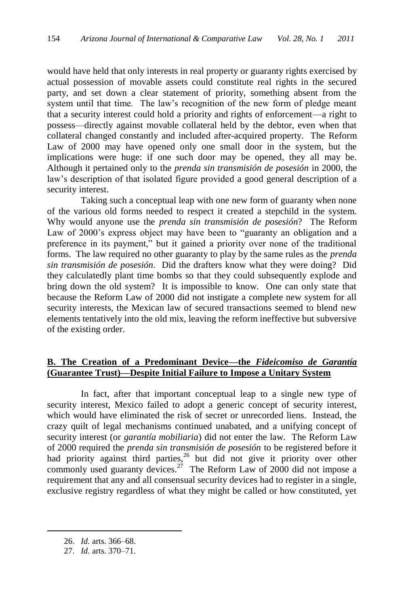would have held that only interests in real property or guaranty rights exercised by actual possession of movable assets could constitute real rights in the secured party, and set down a clear statement of priority, something absent from the system until that time. The law's recognition of the new form of pledge meant that a security interest could hold a priority and rights of enforcement—a right to possess—directly against movable collateral held by the debtor, even when that collateral changed constantly and included after-acquired property. The Reform Law of 2000 may have opened only one small door in the system, but the implications were huge: if one such door may be opened, they all may be. Although it pertained only to the *prenda sin transmisión de posesión* in 2000, the law's description of that isolated figure provided a good general description of a security interest.

Taking such a conceptual leap with one new form of guaranty when none of the various old forms needed to respect it created a stepchild in the system. Why would anyone use the *prenda sin transmisión de posesión*? The Reform Law of 2000's express object may have been to "guaranty an obligation and a preference in its payment,‖ but it gained a priority over none of the traditional forms. The law required no other guaranty to play by the same rules as the *prenda sin transmisión de posesión*. Did the drafters know what they were doing? Did they calculatedly plant time bombs so that they could subsequently explode and bring down the old system? It is impossible to know. One can only state that because the Reform Law of 2000 did not instigate a complete new system for all security interests, the Mexican law of secured transactions seemed to blend new elements tentatively into the old mix, leaving the reform ineffective but subversive of the existing order.

## **B. The Creation of a Predominant Device—the** *Fideicomiso de Garantía* **(Guarantee Trust)—Despite Initial Failure to Impose a Unitary System**

In fact, after that important conceptual leap to a single new type of security interest, Mexico failed to adopt a generic concept of security interest, which would have eliminated the risk of secret or unrecorded liens. Instead, the crazy quilt of legal mechanisms continued unabated, and a unifying concept of security interest (or *garantía mobiliaria*) did not enter the law. The Reform Law of 2000 required the *prenda sin transmisión de posesión* to be registered before it had priority against third parties,<sup>26</sup> but did not give it priority over other commonly used guaranty devices.<sup>27</sup> The Reform Law of 2000 did not impose a requirement that any and all consensual security devices had to register in a single, exclusive registry regardless of what they might be called or how constituted, yet

<sup>26.</sup> *Id.* arts. 366–68.

<sup>27.</sup> *Id.* arts. 370–71.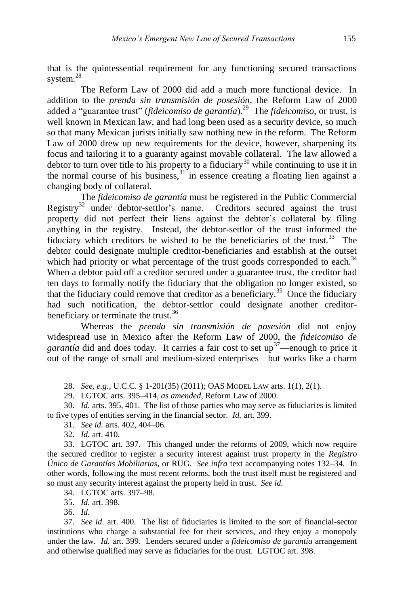that is the quintessential requirement for any functioning secured transactions system.<sup>28</sup>

The Reform Law of 2000 did add a much more functional device. In addition to the *prenda sin transmisión de posesión*, the Reform Law of 2000 added a "guarantee trust" (*fideicomiso de garantía*).<sup>29</sup> The *fideicomiso*, or trust, is well known in Mexican law, and had long been used as a security device, so much so that many Mexican jurists initially saw nothing new in the reform. The Reform Law of 2000 drew up new requirements for the device, however, sharpening its focus and tailoring it to a guaranty against movable collateral. The law allowed a debtor to turn over title to his property to a fiduciary<sup>30</sup> while continuing to use it in the normal course of his business,  $31$  in essence creating a floating lien against a changing body of collateral.

The *fideicomiso de garantía* must be registered in the Public Commercial Registry<sup>32</sup> under debtor-settlor's name. Creditors secured against the trust property did not perfect their liens against the debtor's collateral by filing anything in the registry. Instead, the debtor-settlor of the trust informed the fiduciary which creditors he wished to be the beneficiaries of the trust.<sup>33</sup> The debtor could designate multiple creditor-beneficiaries and establish at the outset which had priority or what percentage of the trust goods corresponded to each.<sup>34</sup> When a debtor paid off a creditor secured under a guarantee trust, the creditor had ten days to formally notify the fiduciary that the obligation no longer existed, so that the fiduciary could remove that creditor as a beneficiary.<sup>35</sup> Once the fiduciary had such notification, the debtor-settlor could designate another creditorbeneficiary or terminate the trust.<sup>36</sup>

Whereas the *prenda sin transmisión de posesión* did not enjoy widespread use in Mexico after the Reform Law of 2000, the *fideicomiso de garantía* did and does today. It carries a fair cost to set up<sup>37</sup>—enough to price it out of the range of small and medium-sized enterprises—but works like a charm

- 31. *See id.* arts. 402, 404–06.
- 32. *Id.* art. 410.

34. LGTOC arts. 397–98.

35. *Id.* art. 398.

36. *Id.*

<sup>28.</sup> *See, e.g.*, U.C.C. § 1-201(35) (2011); OAS MODEL LAW arts. 1(1), 2(1).

<sup>29.</sup> LGTOC arts. 395–414, *as amended*, Reform Law of 2000.

<sup>30.</sup> *Id.* arts. 395, 401. The list of those parties who may serve as fiduciaries is limited to five types of entities serving in the financial sector. *Id.* art. 399.

<sup>33.</sup> LGTOC art. 397. This changed under the reforms of 2009, which now require the secured creditor to register a security interest against trust property in the *Registro Único de Garantías Mobiliarias*, or RUG. *See infra* text accompanying notes 132–34*.* In other words, following the most recent reforms, both the trust itself must be registered and so must any security interest against the property held in trust. *See id.*

<sup>37</sup>*. See id.* art. 400. The list of fiduciaries is limited to the sort of financial-sector institutions who charge a substantial fee for their services, and they enjoy a monopoly under the law. *Id.* art. 399. Lenders secured under a *fideicomiso de garantía* arrangement and otherwise qualified may serve as fiduciaries for the trust. LGTOC art. 398.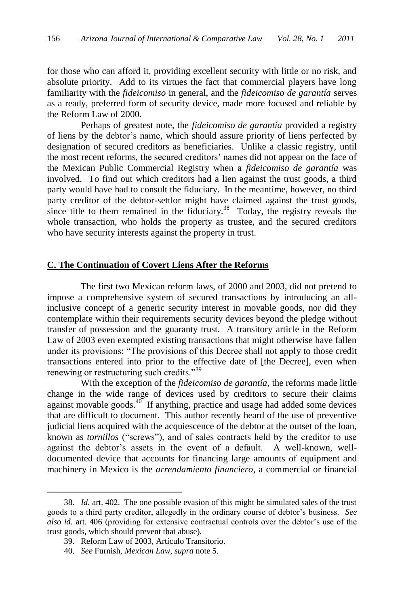for those who can afford it, providing excellent security with little or no risk, and absolute priority. Add to its virtues the fact that commercial players have long familiarity with the *fideicomiso* in general, and the *fideicomiso de garantía* serves as a ready, preferred form of security device, made more focused and reliable by the Reform Law of 2000.

Perhaps of greatest note, the *fideicomiso de garantía* provided a registry of liens by the debtor's name, which should assure priority of liens perfected by designation of secured creditors as beneficiaries. Unlike a classic registry, until the most recent reforms, the secured creditors' names did not appear on the face of the Mexican Public Commercial Registry when a *fideicomiso de garantía* was involved. To find out which creditors had a lien against the trust goods, a third party would have had to consult the fiduciary. In the meantime, however, no third party creditor of the debtor-settlor might have claimed against the trust goods, since title to them remained in the fiduciary.<sup>38</sup> Today, the registry reveals the whole transaction, who holds the property as trustee, and the secured creditors who have security interests against the property in trust.

# **C. The Continuation of Covert Liens After the Reforms**

The first two Mexican reform laws, of 2000 and 2003, did not pretend to impose a comprehensive system of secured transactions by introducing an allinclusive concept of a generic security interest in movable goods, nor did they contemplate within their requirements security devices beyond the pledge without transfer of possession and the guaranty trust. A transitory article in the Reform Law of 2003 even exempted existing transactions that might otherwise have fallen under its provisions: "The provisions of this Decree shall not apply to those credit transactions entered into prior to the effective date of [the Decree], even when renewing or restructuring such credits."<sup>39</sup>

With the exception of the *fideicomiso de garantía*, the reforms made little change in the wide range of devices used by creditors to secure their claims against movable goods. $40^{\circ}$  If anything, practice and usage had added some devices that are difficult to document. This author recently heard of the use of preventive judicial liens acquired with the acquiescence of the debtor at the outset of the loan, known as *tornillos* ("screws"), and of sales contracts held by the creditor to use against the debtor's assets in the event of a default. A well-known, welldocumented device that accounts for financing large amounts of equipment and machinery in Mexico is the *arrendamiento financiero*, a commercial or financial

<sup>38.</sup> *Id.* art. 402. The one possible evasion of this might be simulated sales of the trust goods to a third party creditor, allegedly in the ordinary course of debtor's business. *See also id.* art. 406 (providing for extensive contractual controls over the debtor's use of the trust goods, which should prevent that abuse).

<sup>39.</sup> Reform Law of 2003, Artículo Transitorio.

<sup>40.</sup> *See* Furnish, *Mexican Law*, *supra* note 5.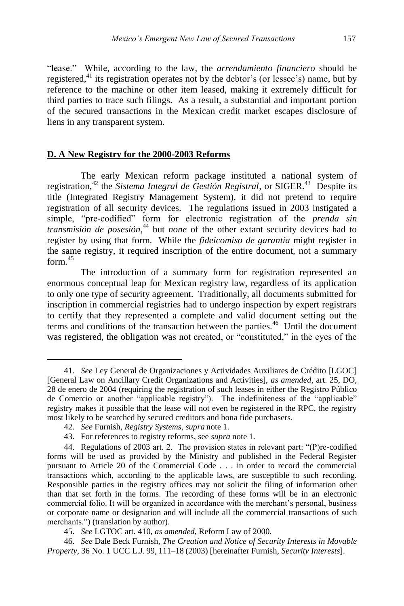―lease.‖ While, according to the law, the *arrendamiento financiero* should be registered,<sup>41</sup> its registration operates not by the debtor's (or lessee's) name, but by reference to the machine or other item leased, making it extremely difficult for third parties to trace such filings. As a result, a substantial and important portion of the secured transactions in the Mexican credit market escapes disclosure of liens in any transparent system.

### **D. A New Registry for the 2000-2003 Reforms**

The early Mexican reform package instituted a national system of registration,<sup>42</sup> the *Sistema Integral de Gestión Registral*, or SIGER.<sup>43</sup> Despite its title (Integrated Registry Management System), it did not pretend to require registration of all security devices. The regulations issued in 2003 instigated a simple, "pre-codified" form for electronic registration of the *prenda sin transmisión de posesión*, <sup>44</sup> but *none* of the other extant security devices had to register by using that form. While the *fideicomiso de garantía* might register in the same registry, it required inscription of the entire document, not a summary  $form<sup>45</sup>$ 

The introduction of a summary form for registration represented an enormous conceptual leap for Mexican registry law, regardless of its application to only one type of security agreement. Traditionally, all documents submitted for inscription in commercial registries had to undergo inspection by expert registrars to certify that they represented a complete and valid document setting out the terms and conditions of the transaction between the parties.<sup>46</sup> Until the document was registered, the obligation was not created, or "constituted," in the eyes of the

<sup>41.</sup> *See* Ley General de Organizaciones y Actividades Auxiliares de Crédito [LGOC] [General Law on Ancillary Credit Organizations and Activities], *as amended*, art. 25, DO, 28 de enero de 2004 (requiring the registration of such leases in either the Registro Público de Comercio or another "applicable registry"). The indefiniteness of the "applicable" registry makes it possible that the lease will not even be registered in the RPC, the registry most likely to be searched by secured creditors and bona fide purchasers.

<sup>42.</sup> *See* Furnish, *Registry Systems*, *supra* note 1.

<sup>43.</sup> For references to registry reforms, see *supra* not[e 1.](#page-0-0)

<sup>44.</sup> Regulations of 2003 art. 2. The provision states in relevant part:  $P$ )re-codified forms will be used as provided by the Ministry and published in the Federal Register pursuant to Article 20 of the Commercial Code . . . in order to record the commercial transactions which, according to the applicable laws, are susceptible to such recording. Responsible parties in the registry offices may not solicit the filing of information other than that set forth in the forms. The recording of these forms will be in an electronic commercial folio. It will be organized in accordance with the merchant's personal, business or corporate name or designation and will include all the commercial transactions of such merchants.") (translation by author).

<sup>45.</sup> *See* LGTOC art. 410, *as amended*, Reform Law of 2000.

<sup>46.</sup> *See* Dale Beck Furnish, *The Creation and Notice of Security Interests in Movable Property*, 36 No. 1 UCC L.J. 99, 111–18 (2003) [hereinafter Furnish, *Security Interests*].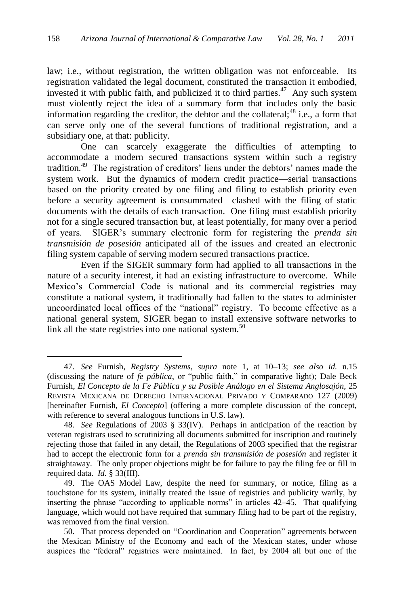law; i.e., without registration, the written obligation was not enforceable. Its registration validated the legal document, constituted the transaction it embodied, invested it with public faith, and publicized it to third parties.<sup>47</sup> Any such system must violently reject the idea of a summary form that includes only the basic information regarding the creditor, the debtor and the collateral;<sup>48</sup> i.e., a form that can serve only one of the several functions of traditional registration, and a subsidiary one, at that: publicity.

One can scarcely exaggerate the difficulties of attempting to accommodate a modern secured transactions system within such a registry tradition.<sup>49</sup> The registration of creditors' liens under the debtors' names made the system work. But the dynamics of modern credit practice—serial transactions based on the priority created by one filing and filing to establish priority even before a security agreement is consummated—clashed with the filing of static documents with the details of each transaction. One filing must establish priority not for a single secured transaction but, at least potentially, for many over a period of years. SIGER's summary electronic form for registering the *prenda sin transmisión de posesión* anticipated all of the issues and created an electronic filing system capable of serving modern secured transactions practice.

Even if the SIGER summary form had applied to all transactions in the nature of a security interest, it had an existing infrastructure to overcome. While Mexico's Commercial Code is national and its commercial registries may constitute a national system, it traditionally had fallen to the states to administer uncoordinated local offices of the "national" registry. To become effective as a national general system, SIGER began to install extensive software networks to link all the state registries into one national system.<sup>50</sup>

<sup>47.</sup> *See* Furnish, *Registry Systems*, *supra* note 1, at 10–13; *see also id.* n.15 (discussing the nature of *fe pública*, or "public faith," in comparative light); Dale Beck Furnish, *El Concepto de la Fe Pública y su Posible Análogo en el Sistema Anglosajón*, 25 REVISTA MEXICANA DE DERECHO INTERNACIONAL PRIVADO Y COMPARADO 127 (2009) [hereinafter Furnish, *El Concepto*] (offering a more complete discussion of the concept, with reference to several analogous functions in U.S. law).

<sup>48.</sup> *See* Regulations of 2003 § 33(IV). Perhaps in anticipation of the reaction by veteran registrars used to scrutinizing all documents submitted for inscription and routinely rejecting those that failed in any detail, the Regulations of 2003 specified that the registrar had to accept the electronic form for a *prenda sin transmisión de posesión* and register it straightaway. The only proper objections might be for failure to pay the filing fee or fill in required data. *Id.* § 33(III).

<sup>49.</sup> The OAS Model Law, despite the need for summary, or notice, filing as a touchstone for its system, initially treated the issue of registries and publicity warily, by inserting the phrase "according to applicable norms" in articles 42–45. That qualifying language, which would not have required that summary filing had to be part of the registry, was removed from the final version.

<sup>50.</sup> That process depended on "Coordination and Cooperation" agreements between the Mexican Ministry of the Economy and each of the Mexican states, under whose auspices the "federal" registries were maintained. In fact, by 2004 all but one of the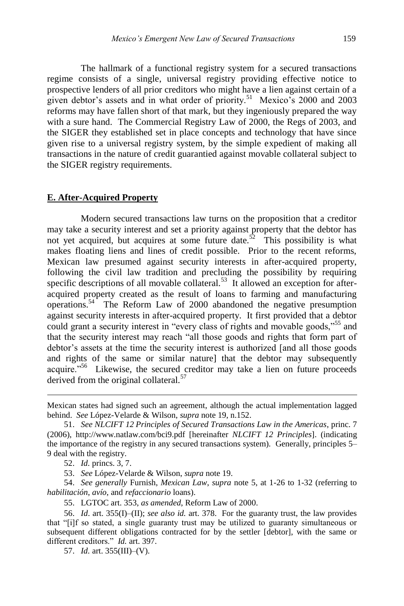The hallmark of a functional registry system for a secured transactions regime consists of a single, universal registry providing effective notice to prospective lenders of all prior creditors who might have a lien against certain of a given debtor's assets and in what order of priority.<sup>51</sup> Mexico's 2000 and 2003 reforms may have fallen short of that mark, but they ingeniously prepared the way with a sure hand. The Commercial Registry Law of 2000, the Regs of 2003, and the SIGER they established set in place concepts and technology that have since given rise to a universal registry system, by the simple expedient of making all transactions in the nature of credit guarantied against movable collateral subject to the SIGER registry requirements.

#### **E. After-Acquired Property**

Modern secured transactions law turns on the proposition that a creditor may take a security interest and set a priority against property that the debtor has not yet acquired, but acquires at some future date.<sup>52</sup> This possibility is what makes floating liens and lines of credit possible. Prior to the recent reforms, Mexican law presumed against security interests in after-acquired property, following the civil law tradition and precluding the possibility by requiring specific descriptions of all movable collateral.<sup>53</sup> It allowed an exception for afteracquired property created as the result of loans to farming and manufacturing operations.<sup>54</sup> The Reform Law of 2000 abandoned the negative presumption against security interests in after-acquired property. It first provided that a debtor could grant a security interest in "every class of rights and movable goods,"<sup>55</sup> and that the security interest may reach "all those goods and rights that form part of debtor's assets at the time the security interest is authorized [and all those goods and rights of the same or similar nature] that the debtor may subsequently acquire."<sup>56</sup> Likewise, the secured creditor may take a lien on future proceeds derived from the original collateral.<sup>57</sup>

Mexican states had signed such an agreement, although the actual implementation lagged behind. *See* López-Velarde & Wilson, *supra* note 19, n.152.

<sup>51.</sup> *See NLCIFT 12 Principles of Secured Transactions Law in the Americas*, princ. 7 (2006), http://www.natlaw.com/bci9.pdf [hereinafter *NLCIFT 12 Principles*]. (indicating the importance of the registry in any secured transactions system). Generally, principles 5– 9 deal with the registry.

<sup>52.</sup> *Id.* princs. 3, 7.

<sup>53.</sup> *See* López-Velarde & Wilson, *supra* note 19.

<sup>54.</sup> *See generally* Furnish, *Mexican Law*, *supra* note 5, at 1-26 to 1-32 (referring to *habilitación*, *avío*, and *refaccionario* loans).

<sup>55.</sup> LGTOC art. 353, *as amended*, Reform Law of 2000.

<sup>56.</sup> *Id*. art. 355(I)–(II); *see also id.* art. 378. For the guaranty trust, the law provides that ―[i]f so stated, a single guaranty trust may be utilized to guaranty simultaneous or subsequent different obligations contracted for by the settler [debtor], with the same or different creditors." *Id.* art. 397.

<sup>57.</sup> *Id.* art. 355(III)–(V).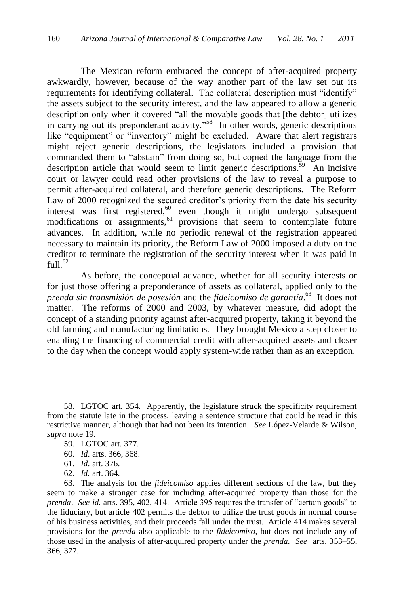The Mexican reform embraced the concept of after-acquired property awkwardly, however, because of the way another part of the law set out its requirements for identifying collateral. The collateral description must "identify" the assets subject to the security interest, and the law appeared to allow a generic description only when it covered "all the movable goods that [the debtor] utilizes in carrying out its preponderant activity."<sup>58</sup> In other words, generic descriptions like "equipment" or "inventory" might be excluded. Aware that alert registrars might reject generic descriptions, the legislators included a provision that commanded them to "abstain" from doing so, but copied the language from the description article that would seem to limit generic descriptions.  $\frac{5}{5}$  An incisive court or lawyer could read other provisions of the law to reveal a purpose to permit after-acquired collateral, and therefore generic descriptions. The Reform Law of 2000 recognized the secured creditor's priority from the date his security interest was first registered, $60$  even though it might undergo subsequent modifications or assignments,  $61$  provisions that seem to contemplate future advances. In addition, while no periodic renewal of the registration appeared necessary to maintain its priority, the Reform Law of 2000 imposed a duty on the creditor to terminate the registration of the security interest when it was paid in  $f_{11}11^{62}$ 

As before, the conceptual advance, whether for all security interests or for just those offering a preponderance of assets as collateral, applied only to the *prenda sin transmisión de posesión* and the *fideicomiso de garantía*. <sup>63</sup> It does not matter. The reforms of 2000 and 2003, by whatever measure, did adopt the concept of a standing priority against after-acquired property, taking it beyond the old farming and manufacturing limitations. They brought Mexico a step closer to enabling the financing of commercial credit with after-acquired assets and closer to the day when the concept would apply system-wide rather than as an exception.

<sup>58.</sup> LGTOC art. 354. Apparently, the legislature struck the specificity requirement from the statute late in the process, leaving a sentence structure that could be read in this restrictive manner, although that had not been its intention. *See* López-Velarde & Wilson, *supra* note 19.

<sup>59.</sup> LGTOC art. 377.

<sup>60.</sup> *Id*. arts. 366, 368.

<sup>61.</sup> *Id*. art. 376.

<sup>62.</sup> *Id.* art. 364.

<sup>63.</sup> The analysis for the *fideicomiso* applies different sections of the law, but they seem to make a stronger case for including after-acquired property than those for the *prenda. See id.* arts. 395, 402, 414. Article 395 requires the transfer of "certain goods" to the fiduciary, but article 402 permits the debtor to utilize the trust goods in normal course of his business activities, and their proceeds fall under the trust. Article 414 makes several provisions for the *prenda* also applicable to the *fideicomiso*, but does not include any of those used in the analysis of after-acquired property under the *prenda*. *See* arts. 353–55, 366, 377.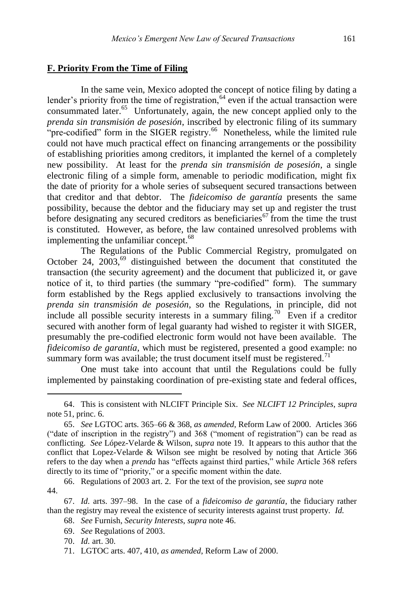### **F. Priority From the Time of Filing**

In the same vein, Mexico adopted the concept of notice filing by dating a lender's priority from the time of registration,  $64$  even if the actual transaction were consummated later.<sup>65</sup> Unfortunately, again, the new concept applied only to the *prenda sin transmisión de posesión*, inscribed by electronic filing of its summary "pre-codified" form in the SIGER registry.<sup>66</sup> Nonetheless, while the limited rule could not have much practical effect on financing arrangements or the possibility of establishing priorities among creditors, it implanted the kernel of a completely new possibility. At least for the *prenda sin transmisión de posesión*, a single electronic filing of a simple form, amenable to periodic modification, might fix the date of priority for a whole series of subsequent secured transactions between that creditor and that debtor. The *fideicomiso de garantía* presents the same possibility, because the debtor and the fiduciary may set up and register the trust before designating any secured creditors as beneficiaries<sup>67</sup> from the time the trust is constituted. However, as before, the law contained unresolved problems with implementing the unfamiliar concept.<sup>68</sup>

The Regulations of the Public Commercial Registry, promulgated on October 24,  $2003$ ,  $69$  distinguished between the document that constituted the transaction (the security agreement) and the document that publicized it, or gave notice of it, to third parties (the summary "pre-codified" form). The summary form established by the Regs applied exclusively to transactions involving the *prenda sin transmisión de posesión*, so the Regulations, in principle, did not include all possible security interests in a summary filing.<sup>70</sup> Even if a creditor secured with another form of legal guaranty had wished to register it with SIGER, presumably the pre-codified electronic form would not have been available. The *fideicomiso de garantía*, which must be registered, presented a good example: no summary form was available; the trust document itself must be registered.<sup>71</sup>

One must take into account that until the Regulations could be fully implemented by painstaking coordination of pre-existing state and federal offices,

- 68. *See* Furnish, *Security Interests*, *supra* note 46.
- 69. *See* Regulations of 2003.
- 70. *Id.* art. 30.

 $\overline{a}$ 

71. LGTOC arts. 407, 410, *as amended*, Reform Law of 2000.

<sup>64.</sup> This is consistent with NLCIFT Principle Six. *See NLCIFT 12 Principles*, *supra* note 51, princ. 6.

<sup>65.</sup> *See* LGTOC arts. 365–66 & 368, *as amended*, Reform Law of 2000. Articles 366 ("date of inscription in the registry") and 368 ("moment of registration") can be read as conflicting. *See* López-Velarde & Wilson, *supra* note 19. It appears to this author that the conflict that Lopez-Velarde & Wilson see might be resolved by noting that Article 366 refers to the day when a *prenda* has "effects against third parties," while Article 368 refers directly to its time of "priority," or a specific moment within the date.

<sup>66.</sup> Regulations of 2003 art. 2. For the text of the provision, see *supra* note 44.

<sup>67.</sup> *Id.* arts. 397–98. In the case of a *fideicomiso de garantía*, the fiduciary rather than the registry may reveal the existence of security interests against trust property. *Id.*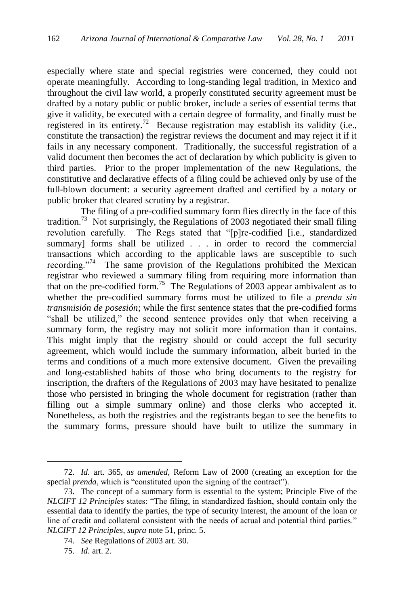especially where state and special registries were concerned, they could not operate meaningfully. According to long-standing legal tradition, in Mexico and throughout the civil law world, a properly constituted security agreement must be drafted by a notary public or public broker, include a series of essential terms that give it validity, be executed with a certain degree of formality, and finally must be registered in its entirety.<sup>72</sup> Because registration may establish its validity (i.e., constitute the transaction) the registrar reviews the document and may reject it if it fails in any necessary component. Traditionally, the successful registration of a valid document then becomes the act of declaration by which publicity is given to third parties. Prior to the proper implementation of the new Regulations, the constitutive and declarative effects of a filing could be achieved only by use of the full-blown document: a security agreement drafted and certified by a notary or public broker that cleared scrutiny by a registrar.

The filing of a pre-codified summary form flies directly in the face of this tradition.<sup>73</sup> Not surprisingly, the Regulations of 2003 negotiated their small filing revolution carefully. The Regs stated that "[p]re-codified [i.e., standardized summary] forms shall be utilized . . . in order to record the commercial transactions which according to the applicable laws are susceptible to such recording."<sup>74</sup> The same provision of the Regulations prohibited the Mexican registrar who reviewed a summary filing from requiring more information than that on the pre-codified form.<sup>75</sup> The Regulations of 2003 appear ambivalent as to whether the pre-codified summary forms must be utilized to file a *prenda sin transmisión de posesión*; while the first sentence states that the pre-codified forms "shall be utilized," the second sentence provides only that when receiving a summary form, the registry may not solicit more information than it contains. This might imply that the registry should or could accept the full security agreement, which would include the summary information, albeit buried in the terms and conditions of a much more extensive document. Given the prevailing and long-established habits of those who bring documents to the registry for inscription, the drafters of the Regulations of 2003 may have hesitated to penalize those who persisted in bringing the whole document for registration (rather than filling out a simple summary online) and those clerks who accepted it. Nonetheless, as both the registries and the registrants began to see the benefits to the summary forms, pressure should have built to utilize the summary in

<sup>72.</sup> *Id.* art. 365, *as amended*, Reform Law of 2000 (creating an exception for the special *prenda*, which is "constituted upon the signing of the contract").

<sup>73.</sup> The concept of a summary form is essential to the system; Principle Five of the *NLCIFT 12 Principles* states: "The filing, in standardized fashion, should contain only the essential data to identify the parties, the type of security interest, the amount of the loan or line of credit and collateral consistent with the needs of actual and potential third parties." *NLCIFT 12 Principles*, *supra* note 51, princ. 5.

<sup>74.</sup> *See* Regulations of 2003 art. 30.

<sup>75.</sup> *Id.* art. 2.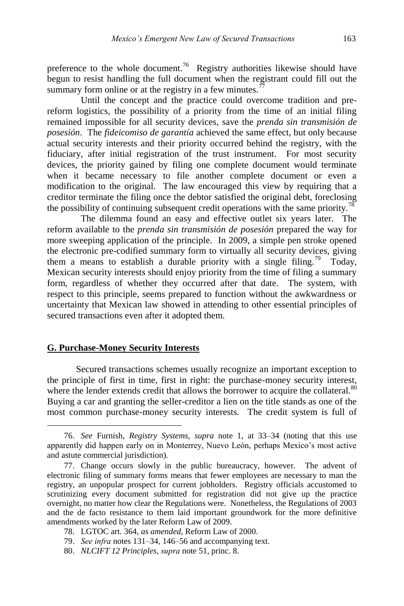preference to the whole document.<sup>76</sup> Registry authorities likewise should have begun to resist handling the full document when the registrant could fill out the summary form online or at the registry in a few minutes.<sup>7</sup>

Until the concept and the practice could overcome tradition and prereform logistics, the possibility of a priority from the time of an initial filing remained impossible for all security devices, save the *prenda sin transmisión de posesión*. The *fideicomiso de garantía* achieved the same effect, but only because actual security interests and their priority occurred behind the registry, with the fiduciary, after initial registration of the trust instrument. For most security devices, the priority gained by filing one complete document would terminate when it became necessary to file another complete document or even a modification to the original. The law encouraged this view by requiring that a creditor terminate the filing once the debtor satisfied the original debt, foreclosing the possibility of continuing subsequent credit operations with the same priority.<sup>78</sup>

The dilemma found an easy and effective outlet six years later. The reform available to the *prenda sin transmisión de posesión* prepared the way for more sweeping application of the principle. In 2009, a simple pen stroke opened the electronic pre-codified summary form to virtually all security devices, giving them a means to establish a durable priority with a single filing.<sup>79</sup> Today, Mexican security interests should enjoy priority from the time of filing a summary form, regardless of whether they occurred after that date. The system, with respect to this principle, seems prepared to function without the awkwardness or uncertainty that Mexican law showed in attending to other essential principles of secured transactions even after it adopted them.

#### **G. Purchase-Money Security Interests**

 $\overline{a}$ 

Secured transactions schemes usually recognize an important exception to the principle of first in time, first in right: the purchase-money security interest, where the lender extends credit that allows the borrower to acquire the collateral.<sup>80</sup> Buying a car and granting the seller-creditor a lien on the title stands as one of the most common purchase-money security interests. The credit system is full of

<sup>76.</sup> *See* Furnish, *Registry Systems*, *supra* note 1, at 33–34 (noting that this use apparently did happen early on in Monterrey, Nuevo León, perhaps Mexico's most active and astute commercial jurisdiction).

<sup>77.</sup> Change occurs slowly in the public bureaucracy, however. The advent of electronic filing of summary forms means that fewer employees are necessary to man the registry, an unpopular prospect for current jobholders. Registry officials accustomed to scrutinizing every document submitted for registration did not give up the practice overnight, no matter how clear the Regulations were. Nonetheless, the Regulations of 2003 and the de facto resistance to them laid important groundwork for the more definitive amendments worked by the later Reform Law of 2009.

<sup>78.</sup> LGTOC art. 364, *as amended*, Reform Law of 2000.

<sup>79.</sup> *See infra* notes 131–34, 146–56 and accompanying text.

<sup>80.</sup> *NLCIFT 12 Principles*, *supra* note 51, princ. 8.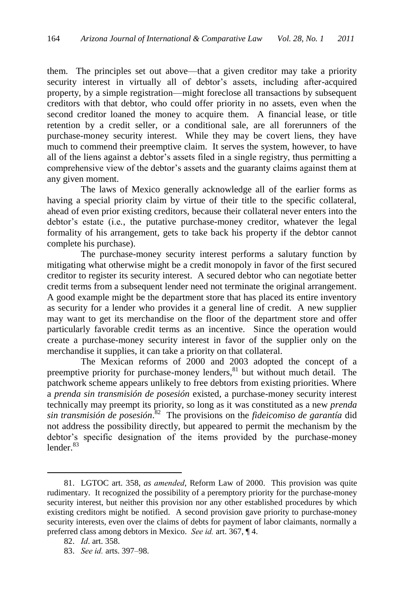them. The principles set out above—that a given creditor may take a priority security interest in virtually all of debtor's assets, including after-acquired property, by a simple registration—might foreclose all transactions by subsequent creditors with that debtor, who could offer priority in no assets, even when the second creditor loaned the money to acquire them. A financial lease, or title retention by a credit seller, or a conditional sale, are all forerunners of the purchase-money security interest. While they may be covert liens, they have much to commend their preemptive claim. It serves the system, however, to have all of the liens against a debtor's assets filed in a single registry, thus permitting a comprehensive view of the debtor's assets and the guaranty claims against them at any given moment.

The laws of Mexico generally acknowledge all of the earlier forms as having a special priority claim by virtue of their title to the specific collateral, ahead of even prior existing creditors, because their collateral never enters into the debtor's estate (i.e*.*, the putative purchase-money creditor, whatever the legal formality of his arrangement, gets to take back his property if the debtor cannot complete his purchase).

The purchase-money security interest performs a salutary function by mitigating what otherwise might be a credit monopoly in favor of the first secured creditor to register its security interest. A secured debtor who can negotiate better credit terms from a subsequent lender need not terminate the original arrangement. A good example might be the department store that has placed its entire inventory as security for a lender who provides it a general line of credit. A new supplier may want to get its merchandise on the floor of the department store and offer particularly favorable credit terms as an incentive. Since the operation would create a purchase-money security interest in favor of the supplier only on the merchandise it supplies, it can take a priority on that collateral.

The Mexican reforms of 2000 and 2003 adopted the concept of a preemptive priority for purchase-money lenders, $81$  but without much detail. The patchwork scheme appears unlikely to free debtors from existing priorities. Where a *prenda sin transmisión de posesión* existed, a purchase-money security interest technically may preempt its priority, so long as it was constituted as a new *prenda sin transmisión de posesión*. 82 The provisions on the *fideicomiso de garantía* did not address the possibility directly, but appeared to permit the mechanism by the debtor's specific designation of the items provided by the purchase-money lender. $83$ 

<sup>81.</sup> LGTOC art. 358, *as amended*, Reform Law of 2000. This provision was quite rudimentary. It recognized the possibility of a peremptory priority for the purchase-money security interest, but neither this provision nor any other established procedures by which existing creditors might be notified. A second provision gave priority to purchase-money security interests, even over the claims of debts for payment of labor claimants, normally a preferred class among debtors in Mexico. *See id.* art. 367, ¶ 4.

<sup>82.</sup> *Id*. art. 358.

<sup>83.</sup> *See id.* arts. 397–98.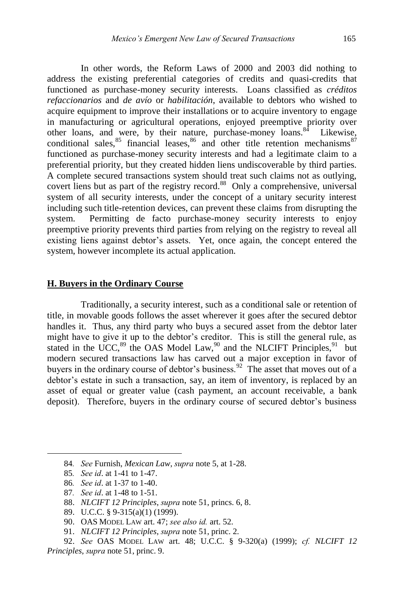In other words, the Reform Laws of 2000 and 2003 did nothing to address the existing preferential categories of credits and quasi-credits that functioned as purchase-money security interests. Loans classified as *créditos refaccionarios* and *de avío* or *habilitación*, available to debtors who wished to acquire equipment to improve their installations or to acquire inventory to engage in manufacturing or agricultural operations, enjoyed preemptive priority over other loans, and were, by their nature, purchase-money loans.<sup>84</sup> Likewise, conditional sales,  $85$  financial leases,  $86$  and other title retention mechanisms  $87$ functioned as purchase-money security interests and had a legitimate claim to a preferential priority, but they created hidden liens undiscoverable by third parties. A complete secured transactions system should treat such claims not as outlying, covert liens but as part of the registry record.<sup>88</sup> Only a comprehensive, universal system of all security interests, under the concept of a unitary security interest including such title-retention devices, can prevent these claims from disrupting the system. Permitting de facto purchase-money security interests to enjoy preemptive priority prevents third parties from relying on the registry to reveal all existing liens against debtor's assets. Yet, once again, the concept entered the system, however incomplete its actual application.

### **H. Buyers in the Ordinary Course**

Traditionally, a security interest, such as a conditional sale or retention of title, in movable goods follows the asset wherever it goes after the secured debtor handles it. Thus, any third party who buys a secured asset from the debtor later might have to give it up to the debtor's creditor. This is still the general rule, as stated in the UCC,  $89$  the OAS Model Law,  $90$  and the NLCIFT Principles,  $91$  but modern secured transactions law has carved out a major exception in favor of buyers in the ordinary course of debtor's business.  $92$  The asset that moves out of a debtor's estate in such a transaction, say, an item of inventory, is replaced by an asset of equal or greater value (cash payment, an account receivable, a bank deposit). Therefore, buyers in the ordinary course of secured debtor's business

 $\overline{a}$ 

87*. See id*. at 1-48 to 1-51.

<sup>84</sup>*. See* Furnish, *Mexican Law*, *supra* note 5, at 1-28.

<sup>85</sup>*. See id*. at 1-41 to 1-47.

<sup>86</sup>*. See id*. at 1-37 to 1-40.

<sup>88.</sup> *NLCIFT 12 Principles*, *supra* note 51, princs. 6, 8.

<sup>89.</sup> U.C.C. § 9-315(a)(1) (1999).

<sup>90.</sup> OAS MODEL LAW art. 47; *see also id.* art. 52.

<sup>91.</sup> *NLCIFT 12 Principles*, *supra* note 51, princ. 2.

<sup>92.</sup> *See* OAS MODEL LAW art. 48; U.C.C. § 9-320(a) (1999); *cf. NLCIFT 12 Principles*, *supra* note 51, princ. 9.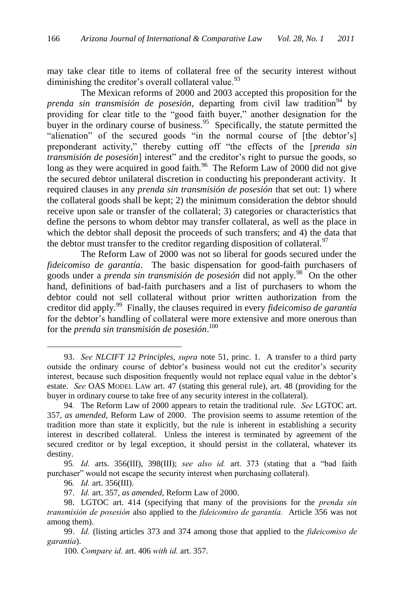may take clear title to items of collateral free of the security interest without diminishing the creditor's overall collateral value.<sup>93</sup>

The Mexican reforms of 2000 and 2003 accepted this proposition for the *prenda sin transmisión de posesión*, departing from civil law tradition<sup>94</sup> by providing for clear title to the "good faith buyer," another designation for the buyer in the ordinary course of business.<sup>95</sup> Specifically, the statute permitted the "alienation" of the secured goods "in the normal course of [the debtor's] preponderant activity," thereby cutting off "the effects of the [*prenda sin transmisión de posesión*] interest" and the creditor's right to pursue the goods, so long as they were acquired in good faith.<sup>96</sup> The Reform Law of 2000 did not give the secured debtor unilateral discretion in conducting his preponderant activity. It required clauses in any *prenda sin transmisión de posesión* that set out: 1) where the collateral goods shall be kept; 2) the minimum consideration the debtor should receive upon sale or transfer of the collateral; 3) categories or characteristics that define the persons to whom debtor may transfer collateral, as well as the place in which the debtor shall deposit the proceeds of such transfers; and 4) the data that the debtor must transfer to the creditor regarding disposition of collateral.<sup>97</sup>

The Reform Law of 2000 was not so liberal for goods secured under the *fideicomiso de garantía*. The basic dispensation for good-faith purchasers of goods under a *prenda sin transmisión de posesión* did not apply.<sup>98</sup> On the other hand, definitions of bad-faith purchasers and a list of purchasers to whom the debtor could not sell collateral without prior written authorization from the creditor did apply.<sup>99</sup> Finally, the clauses required in every *fideicomiso de garantía* for the debtor's handling of collateral were more extensive and more onerous than for the *prenda sin transmisión de posesión*. 100

<sup>93.</sup> *See NLCIFT 12 Principles*, *supra* note 51, princ. 1. A transfer to a third party outside the ordinary course of debtor's business would not cut the creditor's security interest, because such disposition frequently would not replace equal value in the debtor's estate. *See* OAS MODEL LAW art. 47 (stating this general rule), art. 48 (providing for the buyer in ordinary course to take free of any security interest in the collateral).

<sup>94</sup>*.* The Reform Law of 2000 appears to retain the traditional rule. *See* LGTOC art. 357, *as amended*, Reform Law of 2000. The provision seems to assume retention of the tradition more than state it explicitly, but the rule is inherent in establishing a security interest in described collateral. Unless the interest is terminated by agreement of the secured creditor or by legal exception, it should persist in the collateral, whatever its destiny.

<sup>95.</sup> *Id.* arts. 356(III), 398(III); *see also id.* art. 373 (stating that a "bad faith purchaser" would not escape the security interest when purchasing collateral).

<sup>96</sup>*. Id.* art. 356(III).

<sup>97.</sup> *Id.* art. 357, *as amended*, Reform Law of 2000.

<sup>98.</sup> LGTOC art. 414 (specifying that many of the provisions for the *prenda sin transmisión de posesión* also applied to the *fideicomiso de garantía.* Article 356 was not among them).

<sup>99.</sup> *Id.* (listing articles 373 and 374 among those that applied to the *fideicomiso de garantía*).

<sup>100.</sup> *Compare id.* art. 406 *with id.* art. 357.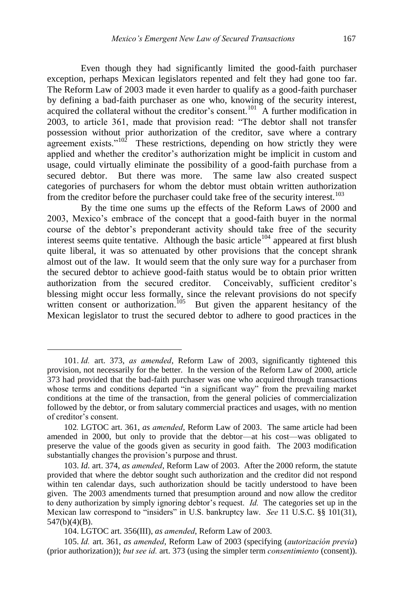Even though they had significantly limited the good-faith purchaser exception, perhaps Mexican legislators repented and felt they had gone too far. The Reform Law of 2003 made it even harder to qualify as a good-faith purchaser by defining a bad-faith purchaser as one who, knowing of the security interest, acquired the collateral without the creditor's consent.<sup>101</sup> A further modification in 2003, to article 361, made that provision read: "The debtor shall not transfer possession without prior authorization of the creditor, save where a contrary agreement exists." $10^2$  These restrictions, depending on how strictly they were applied and whether the creditor's authorization might be implicit in custom and usage, could virtually eliminate the possibility of a good-faith purchase from a secured debtor. But there was more. The same law also created suspect categories of purchasers for whom the debtor must obtain written authorization from the creditor before the purchaser could take free of the security interest.<sup>103</sup>

By the time one sums up the effects of the Reform Laws of 2000 and 2003, Mexico's embrace of the concept that a good-faith buyer in the normal course of the debtor's preponderant activity should take free of the security interest seems quite tentative. Although the basic article<sup>104</sup> appeared at first blush quite liberal, it was so attenuated by other provisions that the concept shrank almost out of the law. It would seem that the only sure way for a purchaser from the secured debtor to achieve good-faith status would be to obtain prior written authorization from the secured creditor. Conceivably, sufficient creditor's blessing might occur less formally, since the relevant provisions do not specify written consent or authorization.<sup>105</sup> But given the apparent hesitancy of the Mexican legislator to trust the secured debtor to adhere to good practices in the

<sup>101.</sup> *Id.* art. 373, *as amended*, Reform Law of 2003, significantly tightened this provision, not necessarily for the better. In the version of the Reform Law of 2000, article 373 had provided that the bad-faith purchaser was one who acquired through transactions whose terms and conditions departed "in a significant way" from the prevailing market conditions at the time of the transaction, from the general policies of commercialization followed by the debtor, or from salutary commercial practices and usages, with no mention of creditor's consent.

<sup>102</sup>*.* LGTOC art. 361, *as amended*, Reform Law of 2003. The same article had been amended in 2000, but only to provide that the debtor—at his cost—was obligated to preserve the value of the goods given as security in good faith. The 2003 modification substantially changes the provision's purpose and thrust.

<sup>103.</sup> *Id.* art. 374, *as amended*, Reform Law of 2003. After the 2000 reform, the statute provided that where the debtor sought such authorization and the creditor did not respond within ten calendar days, such authorization should be tacitly understood to have been given. The 2003 amendments turned that presumption around and now allow the creditor to deny authorization by simply ignoring debtor's request. *Id.* The categories set up in the Mexican law correspond to "insiders" in U.S. bankruptcy law. *See* 11 U.S.C. §§ 101(31), 547(b)(4)(B).

<sup>104.</sup> LGTOC art. 356(III), *as amended*, Reform Law of 2003.

<sup>105.</sup> *Id.* art. 361, *as amended*, Reform Law of 2003 (specifying (*autorización previa*) (prior authorization)); *but see id.* art. 373 (using the simpler term *consentimiento* (consent)).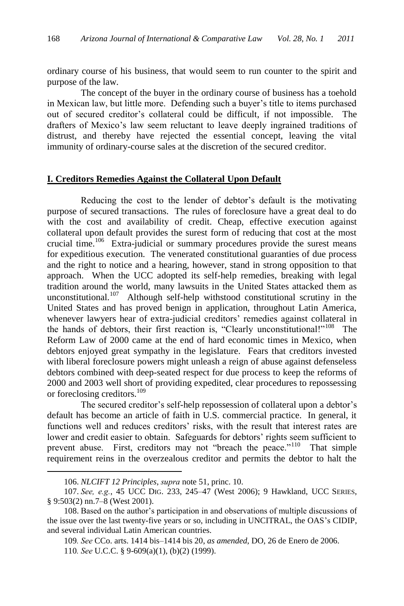ordinary course of his business, that would seem to run counter to the spirit and purpose of the law.

The concept of the buyer in the ordinary course of business has a toehold in Mexican law, but little more. Defending such a buyer's title to items purchased out of secured creditor's collateral could be difficult, if not impossible. The drafters of Mexico's law seem reluctant to leave deeply ingrained traditions of distrust, and thereby have rejected the essential concept, leaving the vital immunity of ordinary-course sales at the discretion of the secured creditor.

### **I. Creditors Remedies Against the Collateral Upon Default**

Reducing the cost to the lender of debtor's default is the motivating purpose of secured transactions. The rules of foreclosure have a great deal to do with the cost and availability of credit. Cheap, effective execution against collateral upon default provides the surest form of reducing that cost at the most crucial time.<sup>106</sup> Extra-judicial or summary procedures provide the surest means for expeditious execution. The venerated constitutional guaranties of due process and the right to notice and a hearing, however, stand in strong opposition to that approach. When the UCC adopted its self-help remedies, breaking with legal tradition around the world, many lawsuits in the United States attacked them as unconstitutional.<sup>107</sup> Although self-help withstood constitutional scrutiny in the United States and has proved benign in application, throughout Latin America, whenever lawyers hear of extra-judicial creditors' remedies against collateral in the hands of debtors, their first reaction is, "Clearly unconstitutional!" $108$  The Reform Law of 2000 came at the end of hard economic times in Mexico, when debtors enjoyed great sympathy in the legislature. Fears that creditors invested with liberal foreclosure powers might unleash a reign of abuse against defenseless debtors combined with deep-seated respect for due process to keep the reforms of 2000 and 2003 well short of providing expedited, clear procedures to repossessing or foreclosing creditors.<sup>109</sup>

The secured creditor's self-help repossession of collateral upon a debtor's default has become an article of faith in U.S. commercial practice. In general, it functions well and reduces creditors' risks, with the result that interest rates are lower and credit easier to obtain. Safeguards for debtors' rights seem sufficient to prevent abuse. First, creditors may not "breach the peace."<sup>110</sup> That simple requirement reins in the overzealous creditor and permits the debtor to halt the

<sup>106.</sup> *NLCIFT 12 Principles*, *supra* note 51, princ. 10.

<sup>107.</sup> *See, e.g.*, 45 UCC DIG. 233, 245–47 (West 2006); 9 Hawkland, UCC SERIES, § 9:503(2) nn.7–8 (West 2001).

<sup>108.</sup> Based on the author's participation in and observations of multiple discussions of the issue over the last twenty-five years or so, including in UNCITRAL, the OAS's CIDIP, and several individual Latin American countries.

<sup>109</sup>*. See* CCo. arts. 1414 bis–1414 bis 20, *as amended*, DO, 26 de Enero de 2006.

<sup>110</sup>*. See* U.C.C. § 9-609(a)(1), (b)(2) (1999).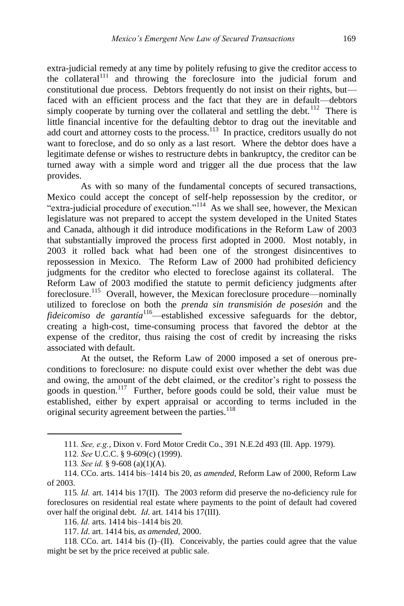extra-judicial remedy at any time by politely refusing to give the creditor access to the collateral<sup>111</sup> and throwing the foreclosure into the judicial forum and constitutional due process. Debtors frequently do not insist on their rights, but faced with an efficient process and the fact that they are in default—debtors simply cooperate by turning over the collateral and settling the debt.<sup>112</sup> There is little financial incentive for the defaulting debtor to drag out the inevitable and add court and attorney costs to the process.<sup>113</sup> In practice, creditors usually do not want to foreclose, and do so only as a last resort. Where the debtor does have a legitimate defense or wishes to restructure debts in bankruptcy, the creditor can be turned away with a simple word and trigger all the due process that the law provides.

As with so many of the fundamental concepts of secured transactions, Mexico could accept the concept of self-help repossession by the creditor, or "extra-judicial procedure of execution."<sup>114</sup> As we shall see, however, the Mexican legislature was not prepared to accept the system developed in the United States and Canada, although it did introduce modifications in the Reform Law of 2003 that substantially improved the process first adopted in 2000. Most notably, in 2003 it rolled back what had been one of the strongest disincentives to repossession in Mexico. The Reform Law of 2000 had prohibited deficiency judgments for the creditor who elected to foreclose against its collateral. The Reform Law of 2003 modified the statute to permit deficiency judgments after foreclosure.<sup>115</sup> Overall, however, the Mexican foreclosure procedure—nominally utilized to foreclose on both the *prenda sin transmisión de posesión* and the *fideicomiso de garantía*<sup>116</sup>—established excessive safeguards for the debtor, creating a high-cost, time-consuming process that favored the debtor at the expense of the creditor, thus raising the cost of credit by increasing the risks associated with default.

At the outset, the Reform Law of 2000 imposed a set of onerous preconditions to foreclosure: no dispute could exist over whether the debt was due and owing, the amount of the debt claimed, or the creditor's right to possess the goods in question.<sup>117</sup> Further, before goods could be sold, their value must be established, either by expert appraisal or according to terms included in the original security agreement between the parties.<sup>118</sup>

<sup>111</sup>*. See, e.g.*, Dixon v. Ford Motor Credit Co., 391 N.E.2d 493 (Ill. App. 1979).

<sup>112</sup>*. See* U.C.C. § 9-609(c) (1999).

<sup>113</sup>*. See id.* § 9-608 (a)(1)(A).

<sup>114.</sup> CCo. arts. 1414 bis–1414 bis 20, *as amended*, Reform Law of 2000, Reform Law of 2003.

<sup>115</sup>*. Id.* art. 1414 bis 17(II). The 2003 reform did preserve the no-deficiency rule for foreclosures on residential real estate where payments to the point of default had covered over half the original debt. *Id*. art. 1414 bis 17(III).

<sup>116.</sup> *Id.* arts. 1414 bis–1414 bis 20.

<sup>117.</sup> *Id*. art. 1414 bis, *as amended*, 2000.

<sup>118</sup>*.* CCo. art. 1414 bis (I)–(II). Conceivably, the parties could agree that the value might be set by the price received at public sale.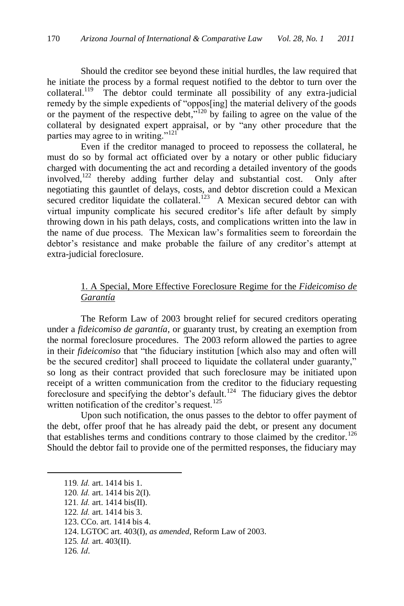Should the creditor see beyond these initial hurdles, the law required that he initiate the process by a formal request notified to the debtor to turn over the collateral.<sup>119</sup> The debtor could terminate all possibility of any extra-judicial remedy by the simple expedients of "oppos[ing] the material delivery of the goods or the payment of the respective debt, $\frac{120}{120}$  by failing to agree on the value of the collateral by designated expert appraisal, or by "any other procedure that the parties may agree to in writing."<sup>121</sup>

Even if the creditor managed to proceed to repossess the collateral, he must do so by formal act officiated over by a notary or other public fiduciary charged with documenting the act and recording a detailed inventory of the goods involved,<sup>122</sup> thereby adding further delay and substantial cost. Only after negotiating this gauntlet of delays, costs, and debtor discretion could a Mexican secured creditor liquidate the collateral.<sup>123</sup> A Mexican secured debtor can with virtual impunity complicate his secured creditor's life after default by simply throwing down in his path delays, costs, and complications written into the law in the name of due process. The Mexican law's formalities seem to foreordain the debtor's resistance and make probable the failure of any creditor's attempt at extra-judicial foreclosure.

## 1. A Special, More Effective Foreclosure Regime for the *Fideicomiso de Garantía*

The Reform Law of 2003 brought relief for secured creditors operating under a *fideicomiso de garantía*, or guaranty trust, by creating an exemption from the normal foreclosure procedures. The 2003 reform allowed the parties to agree in their *fideicomiso* that "the fiduciary institution [which also may and often will be the secured creditor] shall proceed to liquidate the collateral under guaranty," so long as their contract provided that such foreclosure may be initiated upon receipt of a written communication from the creditor to the fiduciary requesting foreclosure and specifying the debtor's default.<sup>124</sup> The fiduciary gives the debtor written notification of the creditor's request.<sup>125</sup>

Upon such notification, the onus passes to the debtor to offer payment of the debt, offer proof that he has already paid the debt, or present any document that establishes terms and conditions contrary to those claimed by the creditor.<sup>126</sup> Should the debtor fail to provide one of the permitted responses, the fiduciary may

<sup>119</sup>*. Id.* art. 1414 bis 1.

<sup>120</sup>*. Id.* art. 1414 bis 2(I).

<sup>121</sup>*. Id.* art. 1414 bis(II).

<sup>122</sup>*. Id.* art. 1414 bis 3.

<sup>123.</sup> CCo. art. 1414 bis 4.

<sup>124.</sup> LGTOC art. 403(I), *as amended*, Reform Law of 2003.

<sup>125</sup>*. Id.* art. 403(II).

<sup>126</sup>*. Id*.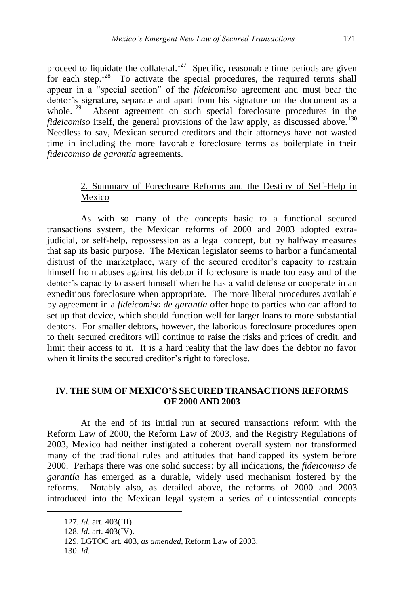proceed to liquidate the collateral.<sup>127</sup> Specific, reasonable time periods are given for each step.<sup>128</sup> To activate the special procedures, the required terms shall appear in a "special section" of the *fideicomiso* agreement and must bear the debtor's signature, separate and apart from his signature on the document as a whole. $129$  Absent agreement on such special foreclosure procedures in the *fideicomiso* itself, the general provisions of the law apply, as discussed above.<sup>130</sup> Needless to say, Mexican secured creditors and their attorneys have not wasted time in including the more favorable foreclosure terms as boilerplate in their *fideicomiso de garantía* agreements.

## 2. Summary of Foreclosure Reforms and the Destiny of Self-Help in Mexico

As with so many of the concepts basic to a functional secured transactions system, the Mexican reforms of 2000 and 2003 adopted extrajudicial, or self-help, repossession as a legal concept, but by halfway measures that sap its basic purpose. The Mexican legislator seems to harbor a fundamental distrust of the marketplace, wary of the secured creditor's capacity to restrain himself from abuses against his debtor if foreclosure is made too easy and of the debtor's capacity to assert himself when he has a valid defense or cooperate in an expeditious foreclosure when appropriate. The more liberal procedures available by agreement in a *fideicomiso de garantía* offer hope to parties who can afford to set up that device, which should function well for larger loans to more substantial debtors. For smaller debtors, however, the laborious foreclosure procedures open to their secured creditors will continue to raise the risks and prices of credit, and limit their access to it. It is a hard reality that the law does the debtor no favor when it limits the secured creditor's right to foreclose.

## **IV. THE SUM OF MEXICO'S SECURED TRANSACTIONS REFORMS OF 2000 AND 2003**

At the end of its initial run at secured transactions reform with the Reform Law of 2000, the Reform Law of 2003, and the Registry Regulations of 2003, Mexico had neither instigated a coherent overall system nor transformed many of the traditional rules and attitudes that handicapped its system before 2000. Perhaps there was one solid success: by all indications, the *fideicomiso de garantía* has emerged as a durable, widely used mechanism fostered by the reforms. Notably also, as detailed above, the reforms of 2000 and 2003 introduced into the Mexican legal system a series of quintessential concepts

<sup>127</sup>*. Id*. art. 403(III).

<sup>128.</sup> *Id*. art. 403(IV).

<sup>129.</sup> LGTOC art. 403, *as amended*, Reform Law of 2003.

<sup>130.</sup> *Id*.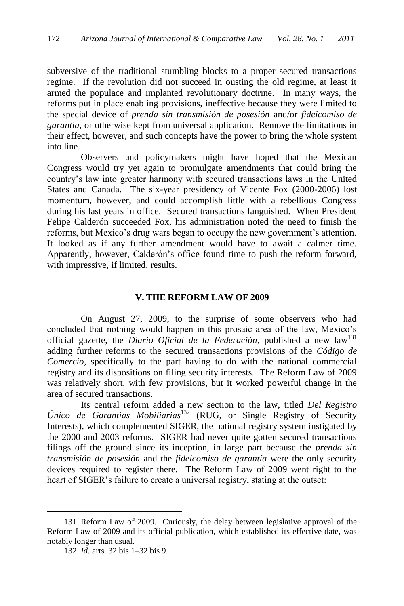subversive of the traditional stumbling blocks to a proper secured transactions regime. If the revolution did not succeed in ousting the old regime, at least it armed the populace and implanted revolutionary doctrine. In many ways, the reforms put in place enabling provisions, ineffective because they were limited to the special device of *prenda sin transmisión de posesión* and/or *fideicomiso de garantía*, or otherwise kept from universal application. Remove the limitations in their effect, however, and such concepts have the power to bring the whole system into line.

Observers and policymakers might have hoped that the Mexican Congress would try yet again to promulgate amendments that could bring the country's law into greater harmony with secured transactions laws in the United States and Canada. The six-year presidency of Vicente Fox (2000-2006) lost momentum, however, and could accomplish little with a rebellious Congress during his last years in office. Secured transactions languished. When President Felipe Calderón succeeded Fox, his administration noted the need to finish the reforms, but Mexico's drug wars began to occupy the new government's attention. It looked as if any further amendment would have to await a calmer time. Apparently, however, Calderón's office found time to push the reform forward, with impressive, if limited, results.

#### **V. THE REFORM LAW OF 2009**

On August 27, 2009, to the surprise of some observers who had concluded that nothing would happen in this prosaic area of the law, Mexico's official gazette, the *Diario Oficial de la Federación*, published a new law<sup>131</sup> adding further reforms to the secured transactions provisions of the *Código de Comercio*, specifically to the part having to do with the national commercial registry and its dispositions on filing security interests. The Reform Law of 2009 was relatively short, with few provisions, but it worked powerful change in the area of secured transactions.

Its central reform added a new section to the law, titled *Del Registro Único de Garantías Mobiliarias*<sup>132</sup> (RUG, or Single Registry of Security Interests), which complemented SIGER, the national registry system instigated by the 2000 and 2003 reforms. SIGER had never quite gotten secured transactions filings off the ground since its inception, in large part because the *prenda sin transmisión de posesión* and the *fideicomiso de garantía* were the only security devices required to register there. The Reform Law of 2009 went right to the heart of SIGER's failure to create a universal registry, stating at the outset:

<sup>131.</sup> Reform Law of 2009. Curiously, the delay between legislative approval of the Reform Law of 2009 and its official publication, which established its effective date, was notably longer than usual.

<sup>132.</sup> *Id.* arts. 32 bis 1–32 bis 9.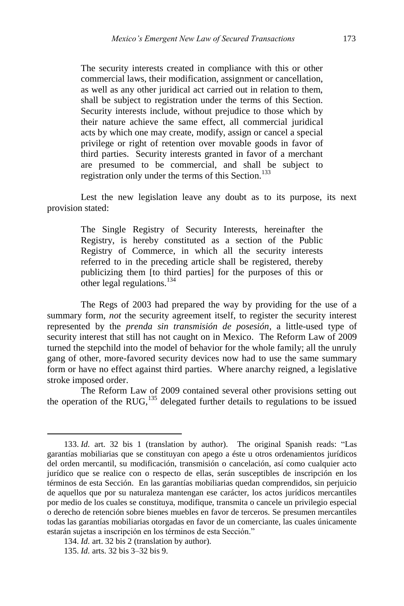The security interests created in compliance with this or other commercial laws, their modification, assignment or cancellation, as well as any other juridical act carried out in relation to them, shall be subject to registration under the terms of this Section. Security interests include, without prejudice to those which by their nature achieve the same effect, all commercial juridical acts by which one may create, modify, assign or cancel a special privilege or right of retention over movable goods in favor of third parties. Security interests granted in favor of a merchant are presumed to be commercial, and shall be subject to registration only under the terms of this Section.<sup>133</sup>

Lest the new legislation leave any doubt as to its purpose, its next provision stated:

> The Single Registry of Security Interests, hereinafter the Registry, is hereby constituted as a section of the Public Registry of Commerce, in which all the security interests referred to in the preceding article shall be registered, thereby publicizing them [to third parties] for the purposes of this or other legal regulations.<sup>134</sup>

The Regs of 2003 had prepared the way by providing for the use of a summary form, *not* the security agreement itself, to register the security interest represented by the *prenda sin transmisión de posesión*, a little-used type of security interest that still has not caught on in Mexico. The Reform Law of 2009 turned the stepchild into the model of behavior for the whole family; all the unruly gang of other, more-favored security devices now had to use the same summary form or have no effect against third parties. Where anarchy reigned, a legislative stroke imposed order.

The Reform Law of 2009 contained several other provisions setting out the operation of the RUG, $^{135}$  delegated further details to regulations to be issued

<sup>133.</sup> Id. art. 32 bis 1 (translation by author). The original Spanish reads: "Las garantías mobiliarias que se constituyan con apego a éste u otros ordenamientos jurídicos del orden mercantil, su modificación, transmisión o cancelación, así como cualquier acto jurídico que se realice con o respecto de ellas, serán susceptibles de inscripción en los términos de esta Sección. En las garantías mobiliarias quedan comprendidos, sin perjuicio de aquellos que por su naturaleza mantengan ese carácter, los actos jurídicos mercantiles por medio de los cuales se constituya, modifique, transmita o cancele un privilegio especial o derecho de retención sobre bienes muebles en favor de terceros. Se presumen mercantiles todas las garantías mobiliarias otorgadas en favor de un comerciante, las cuales únicamente estarán sujetas a inscripción en los términos de esta Sección."

<sup>134.</sup> *Id.* art. 32 bis 2 (translation by author).

<sup>135.</sup> *Id.* arts. 32 bis 3–32 bis 9.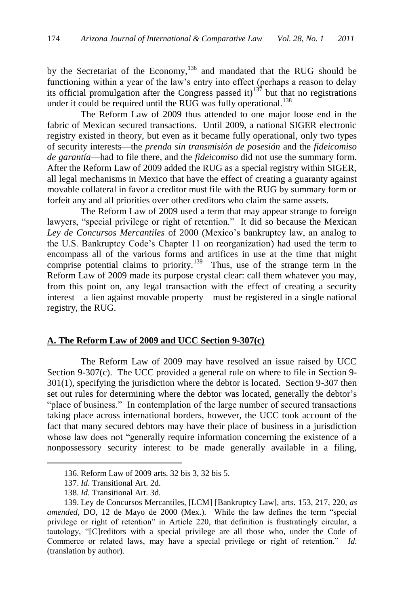by the Secretariat of the Economy,<sup>136</sup> and mandated that the RUG should be functioning within a year of the law's entry into effect (perhaps a reason to delay its official promulgation after the Congress passed it)<sup>137</sup> but that no registrations under it could be required until the RUG was fully operational.<sup>138</sup>

The Reform Law of 2009 thus attended to one major loose end in the fabric of Mexican secured transactions. Until 2009, a national SIGER electronic registry existed in theory, but even as it became fully operational, only two types of security interests—the *prenda sin transmisión de posesión* and the *fideicomiso de garantía*—had to file there, and the *fideicomiso* did not use the summary form. After the Reform Law of 2009 added the RUG as a special registry within SIGER, all legal mechanisms in Mexico that have the effect of creating a guaranty against movable collateral in favor a creditor must file with the RUG by summary form or forfeit any and all priorities over other creditors who claim the same assets.

The Reform Law of 2009 used a term that may appear strange to foreign lawyers, "special privilege or right of retention." It did so because the Mexican *Ley de Concursos Mercantiles* of 2000 (Mexico's bankruptcy law, an analog to the U.S. Bankruptcy Code's Chapter 11 on reorganization) had used the term to encompass all of the various forms and artifices in use at the time that might comprise potential claims to priority.<sup>139</sup> Thus, use of the strange term in the Reform Law of 2009 made its purpose crystal clear: call them whatever you may, from this point on, any legal transaction with the effect of creating a security interest—a lien against movable property—must be registered in a single national registry, the RUG.

### **A. The Reform Law of 2009 and UCC Section 9-307(c)**

The Reform Law of 2009 may have resolved an issue raised by UCC Section 9-307(c). The UCC provided a general rule on where to file in Section 9- 301(1), specifying the jurisdiction where the debtor is located. Section 9-307 then set out rules for determining where the debtor was located, generally the debtor's "place of business." In contemplation of the large number of secured transactions taking place across international borders, however, the UCC took account of the fact that many secured debtors may have their place of business in a jurisdiction whose law does not "generally require information concerning the existence of a nonpossessory security interest to be made generally available in a filing,

<sup>136.</sup> Reform Law of 2009 arts. 32 bis 3, 32 bis 5.

<sup>137.</sup> *Id.* Transitional Art. 2d.

<sup>138.</sup> *Id.* Transitional Art. 3d.

<sup>139.</sup> Ley de Concursos Mercantiles, [LCM] [Bankruptcy Law], arts. 153, 217, 220, *as amended*, DO, 12 de Mayo de 2000 (Mex.). While the law defines the term "special privilege or right of retention" in Article 220, that definition is frustratingly circular, a tautology, ―[C]reditors with a special privilege are all those who, under the Code of Commerce or related laws, may have a special privilege or right of retention." *Id.* (translation by author).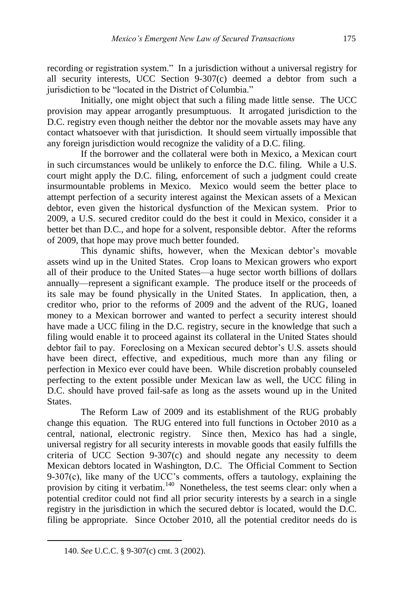recording or registration system." In a jurisdiction without a universal registry for all security interests, UCC Section 9-307(c) deemed a debtor from such a jurisdiction to be "located in the District of Columbia."

Initially, one might object that such a filing made little sense. The UCC provision may appear arrogantly presumptuous. It arrogated jurisdiction to the D.C. registry even though neither the debtor nor the movable assets may have any contact whatsoever with that jurisdiction. It should seem virtually impossible that any foreign jurisdiction would recognize the validity of a D.C. filing.

If the borrower and the collateral were both in Mexico, a Mexican court in such circumstances would be unlikely to enforce the D.C. filing. While a U.S. court might apply the D.C. filing, enforcement of such a judgment could create insurmountable problems in Mexico. Mexico would seem the better place to attempt perfection of a security interest against the Mexican assets of a Mexican debtor, even given the historical dysfunction of the Mexican system. Prior to 2009, a U.S. secured creditor could do the best it could in Mexico, consider it a better bet than D.C., and hope for a solvent, responsible debtor. After the reforms of 2009, that hope may prove much better founded.

This dynamic shifts, however, when the Mexican debtor's movable assets wind up in the United States. Crop loans to Mexican growers who export all of their produce to the United States—a huge sector worth billions of dollars annually—represent a significant example. The produce itself or the proceeds of its sale may be found physically in the United States. In application, then, a creditor who, prior to the reforms of 2009 and the advent of the RUG, loaned money to a Mexican borrower and wanted to perfect a security interest should have made a UCC filing in the D.C. registry, secure in the knowledge that such a filing would enable it to proceed against its collateral in the United States should debtor fail to pay. Foreclosing on a Mexican secured debtor's U.S. assets should have been direct, effective, and expeditious, much more than any filing or perfection in Mexico ever could have been. While discretion probably counseled perfecting to the extent possible under Mexican law as well, the UCC filing in D.C. should have proved fail-safe as long as the assets wound up in the United States.

The Reform Law of 2009 and its establishment of the RUG probably change this equation. The RUG entered into full functions in October 2010 as a central, national, electronic registry. Since then, Mexico has had a single, universal registry for all security interests in movable goods that easily fulfills the criteria of UCC Section 9-307(c) and should negate any necessity to deem Mexican debtors located in Washington, D.C. The Official Comment to Section 9-307(c), like many of the UCC's comments, offers a tautology, explaining the provision by citing it verbatim.<sup>140</sup> Nonetheless, the test seems clear: only when a potential creditor could not find all prior security interests by a search in a single registry in the jurisdiction in which the secured debtor is located, would the D.C. filing be appropriate. Since October 2010, all the potential creditor needs do is

<sup>140.</sup> *See* U.C.C. § 9-307(c) cmt. 3 (2002).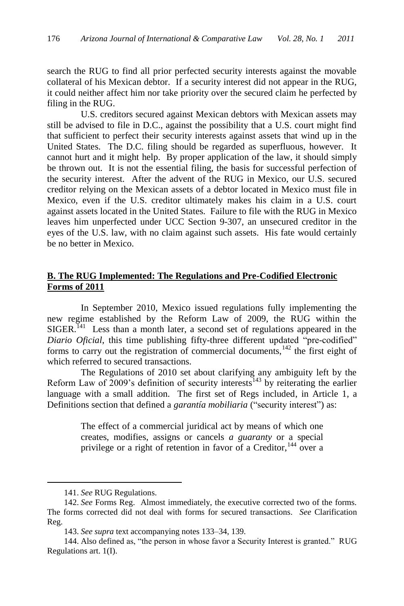search the RUG to find all prior perfected security interests against the movable collateral of his Mexican debtor. If a security interest did not appear in the RUG, it could neither affect him nor take priority over the secured claim he perfected by filing in the RUG.

U.S. creditors secured against Mexican debtors with Mexican assets may still be advised to file in D.C., against the possibility that a U.S. court might find that sufficient to perfect their security interests against assets that wind up in the United States. The D.C. filing should be regarded as superfluous, however. It cannot hurt and it might help. By proper application of the law, it should simply be thrown out. It is not the essential filing, the basis for successful perfection of the security interest. After the advent of the RUG in Mexico, our U.S. secured creditor relying on the Mexican assets of a debtor located in Mexico must file in Mexico, even if the U.S. creditor ultimately makes his claim in a U.S. court against assets located in the United States. Failure to file with the RUG in Mexico leaves him unperfected under UCC Section 9-307, an unsecured creditor in the eyes of the U.S. law, with no claim against such assets. His fate would certainly be no better in Mexico.

## **B. The RUG Implemented: The Regulations and Pre-Codified Electronic Forms of 2011**

In September 2010, Mexico issued regulations fully implementing the new regime established by the Reform Law of 2009, the RUG within the  $SIGER$ <sup>141</sup> Less than a month later, a second set of regulations appeared in the *Diario Oficial*, this time publishing fifty-three different updated "pre-codified" forms to carry out the registration of commercial documents, $142$  the first eight of which referred to secured transactions*.*

The Regulations of 2010 set about clarifying any ambiguity left by the Reform Law of  $2009$ 's definition of security interests<sup>143</sup> by reiterating the earlier language with a small addition. The first set of Regs included, in Article 1, a Definitions section that defined a *garantía mobiliaria* ("security interest") as:

> The effect of a commercial juridical act by means of which one creates, modifies, assigns or cancels *a guaranty* or a special privilege or a right of retention in favor of a Creditor,  $144$  over a

<sup>141.</sup> *See* RUG Regulations.

<sup>142.</sup> *See* Forms Reg. Almost immediately, the executive corrected two of the forms. The forms corrected did not deal with forms for secured transactions. *See* Clarification Reg.

<sup>143.</sup> *See supra* text accompanying notes 133–34, 139*.*

<sup>144.</sup> Also defined as, "the person in whose favor a Security Interest is granted." RUG Regulations art. 1(I).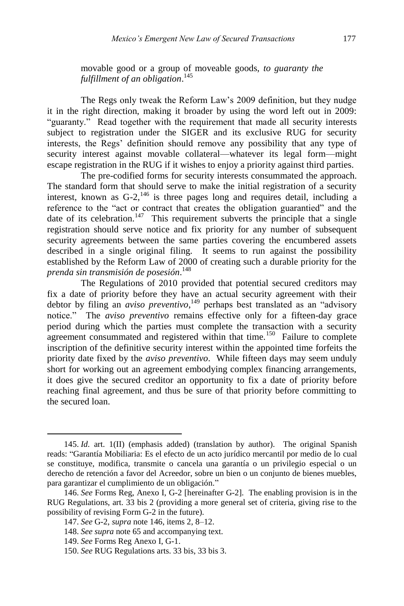movable good or a group of moveable goods, *to guaranty the fulfillment of an obligation*. 145

The Regs only tweak the Reform Law's 2009 definition, but they nudge it in the right direction, making it broader by using the word left out in 2009: "guaranty." Read together with the requirement that made all security interests subject to registration under the SIGER and its exclusive RUG for security interests, the Regs' definition should remove any possibility that any type of security interest against movable collateral—whatever its legal form—might escape registration in the RUG if it wishes to enjoy a priority against third parties.

The pre-codified forms for security interests consummated the approach. The standard form that should serve to make the initial registration of a security interest, known as  $G-2$ ,  $^{146}$  is three pages long and requires detail, including a reference to the "act or contract that creates the obligation guarantied" and the date of its celebration.<sup>147</sup> This requirement subverts the principle that a single registration should serve notice and fix priority for any number of subsequent security agreements between the same parties covering the encumbered assets described in a single original filing. It seems to run against the possibility established by the Reform Law of 2000 of creating such a durable priority for the *prenda sin transmisión de posesión*. 148

The Regulations of 2010 provided that potential secured creditors may fix a date of priority before they have an actual security agreement with their debtor by filing an *aviso preventivo*,<sup>149</sup> perhaps best translated as an "advisory" notice.‖ The *aviso preventivo* remains effective only for a fifteen-day grace period during which the parties must complete the transaction with a security agreement consummated and registered within that time.<sup>150</sup> Failure to complete inscription of the definitive security interest within the appointed time forfeits the priority date fixed by the *aviso preventivo*. While fifteen days may seem unduly short for working out an agreement embodying complex financing arrangements, it does give the secured creditor an opportunity to fix a date of priority before reaching final agreement, and thus be sure of that priority before committing to the secured loan.

<sup>145.</sup> *Id.* art. 1(II) (emphasis added) (translation by author). The original Spanish reads: "Garantía Mobiliaria: Es el efecto de un acto jurídico mercantil por medio de lo cual se constituye, modifica, transmite o cancela una garantía o un privilegio especial o un derecho de retención a favor del Acreedor, sobre un bien o un conjunto de bienes muebles, para garantizar el cumplimiento de un obligación."

<sup>146.</sup> *See* Forms Reg, Anexo I, G-2 [hereinafter G-2]*.* The enabling provision is in the RUG Regulations, art. 33 bis 2 (providing a more general set of criteria, giving rise to the possibility of revising Form G-2 in the future).

<sup>147.</sup> *See* G-2, *supra* note 146, items 2, 8–12.

<sup>148.</sup> *See supra* note 65 and accompanying text.

<sup>149.</sup> *See* Forms Reg Anexo I, G-1.

<sup>150.</sup> *See* RUG Regulations arts. 33 bis, 33 bis 3.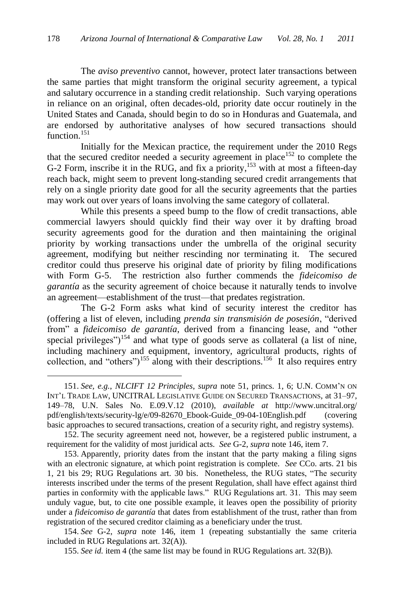The *aviso preventivo* cannot, however, protect later transactions between the same parties that might transform the original security agreement, a typical and salutary occurrence in a standing credit relationship. Such varying operations in reliance on an original, often decades-old, priority date occur routinely in the United States and Canada, should begin to do so in Honduras and Guatemala, and are endorsed by authoritative analyses of how secured transactions should function.<sup>151</sup>

Initially for the Mexican practice, the requirement under the 2010 Regs that the secured creditor needed a security agreement in place<sup>152</sup> to complete the G-2 Form, inscribe it in the RUG, and fix a priority,<sup>153</sup> with at most a fifteen-day reach back, might seem to prevent long-standing secured credit arrangements that rely on a single priority date good for all the security agreements that the parties may work out over years of loans involving the same category of collateral.

While this presents a speed bump to the flow of credit transactions, able commercial lawyers should quickly find their way over it by drafting broad security agreements good for the duration and then maintaining the original priority by working transactions under the umbrella of the original security agreement, modifying but neither rescinding nor terminating it. The secured creditor could thus preserve his original date of priority by filing modifications with Form G-5. The restriction also further commends the *fideicomiso de garantía* as the security agreement of choice because it naturally tends to involve an agreement—establishment of the trust—that predates registration.

The G-2 Form asks what kind of security interest the creditor has (offering a list of eleven, including *prenda sin transmisión de posesión*, "derived from" a *fideicomiso de garantía*, derived from a financing lease, and "other special privileges")<sup>154</sup> and what type of goods serve as collateral (a list of nine, including machinery and equipment, inventory, agricultural products, rights of collection, and "others")<sup>155</sup> along with their descriptions.<sup>156</sup> It also requires entry

<sup>151.</sup> *See, e.g.*, *NLCIFT 12 Principles*, *supra* note 51, princs. 1, 6; U.N. COMM'N ON INT'L TRADE LAW, UNCITRAL LEGISLATIVE GUIDE ON SECURED TRANSACTIONS, at 31–97, 149–78, U.N. Sales No. E.09.V.12 (2010), *available at* http://www.uncitral.org/ pdf/english/texts/security-lg/e/09-82670\_Ebook-Guide\_09-04-10English.pdf (covering basic approaches to secured transactions, creation of a security right, and registry systems).

<sup>152.</sup> The security agreement need not, however, be a registered public instrument, a requirement for the validity of most juridical acts. *See* G-2, *supra* note 146, item 7.

<sup>153.</sup> Apparently, priority dates from the instant that the party making a filing signs with an electronic signature, at which point registration is complete. *See* CCo. arts. 21 bis 1, 21 bis 29; RUG Regulations art. 30 bis. Nonetheless, the RUG states, "The security interests inscribed under the terms of the present Regulation, shall have effect against third parties in conformity with the applicable laws." RUG Regulations art. 31. This may seem unduly vague, but, to cite one possible example, it leaves open the possibility of priority under a *fideicomiso de garantía* that dates from establishment of the trust, rather than from registration of the secured creditor claiming as a beneficiary under the trust.

<sup>154.</sup> *See* G-2, *supra* note 146, item 1 (repeating substantially the same criteria included in RUG Regulations art. 32(A)).

<sup>155.</sup> *See id.* item 4 (the same list may be found in RUG Regulations art. 32(B)).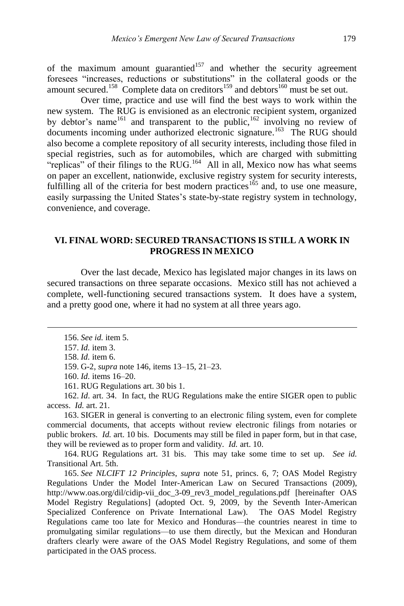of the maximum amount guarantied $157$  and whether the security agreement foresees "increases, reductions or substitutions" in the collateral goods or the amount secured.<sup>158</sup> Complete data on creditors<sup>159</sup> and debtors<sup>160</sup> must be set out.

Over time, practice and use will find the best ways to work within the new system. The RUG is envisioned as an electronic recipient system, organized by debtor's name<sup>161</sup> and transparent to the public,<sup>162</sup> involving no review of documents incoming under authorized electronic signature.<sup>163</sup> The RUG should also become a complete repository of all security interests, including those filed in special registries, such as for automobiles, which are charged with submitting "replicas" of their filings to the RUG.<sup>164</sup> All in all, Mexico now has what seems on paper an excellent, nationwide, exclusive registry system for security interests, fulfilling all of the criteria for best modern practices<sup>165</sup> and, to use one measure, easily surpassing the United States's state-by-state registry system in technology, convenience, and coverage.

## **VI. FINAL WORD: SECURED TRANSACTIONS IS STILL A WORK IN PROGRESS IN MEXICO**

Over the last decade, Mexico has legislated major changes in its laws on secured transactions on three separate occasions. Mexico still has not achieved a complete, well-functioning secured transactions system. It does have a system, and a pretty good one, where it had no system at all three years ago.

 $\overline{a}$ 

162. *Id*. art. 34. In fact, the RUG Regulations make the entire SIGER open to public access. *Id.* art. 21.

163. SIGER in general is converting to an electronic filing system, even for complete commercial documents, that accepts without review electronic filings from notaries or public brokers. *Id.* art. 10 bis. Documents may still be filed in paper form, but in that case, they will be reviewed as to proper form and validity. *Id.* art. 10.

164. RUG Regulations art. 31 bis. This may take some time to set up. *See id.* Transitional Art. 5th.

165. *See NLCIFT 12 Principles*, *supra* note 51, princs. 6, 7; OAS Model Registry Regulations Under the Model Inter-American Law on Secured Transactions (2009), http://www.oas.org/dil/cidip-vii\_doc\_3-09\_rev3\_model\_regulations.pdf [hereinafter OAS Model Registry Regulations] (adopted Oct. 9, 2009, by the Seventh Inter-American Specialized Conference on Private International Law). The OAS Model Registry Regulations came too late for Mexico and Honduras—the countries nearest in time to promulgating similar regulations—to use them directly, but the Mexican and Honduran drafters clearly were aware of the OAS Model Registry Regulations, and some of them participated in the OAS process.

<sup>156.</sup> *See id.* item 5.

<sup>157.</sup> *Id.* item 3.

<sup>158.</sup> *Id.* item 6.

<sup>159.</sup> G-2, *supra* note 146, items 13–15, 21–23.

<sup>160.</sup> *Id.* items 16–20.

<sup>161.</sup> RUG Regulations art. 30 bis 1.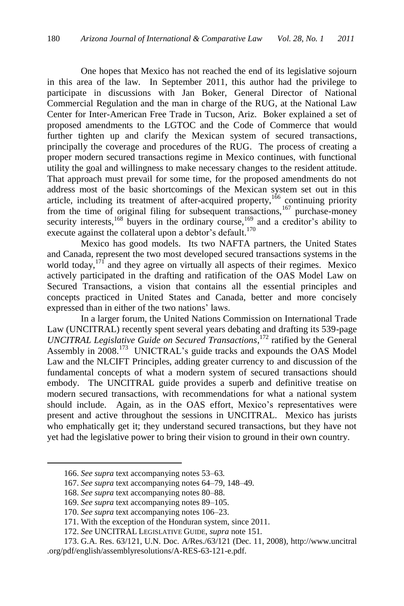One hopes that Mexico has not reached the end of its legislative sojourn in this area of the law. In September 2011, this author had the privilege to participate in discussions with Jan Boker, General Director of National Commercial Regulation and the man in charge of the RUG, at the National Law Center for Inter-American Free Trade in Tucson, Ariz. Boker explained a set of proposed amendments to the LGTOC and the Code of Commerce that would further tighten up and clarify the Mexican system of secured transactions, principally the coverage and procedures of the RUG. The process of creating a proper modern secured transactions regime in Mexico continues, with functional utility the goal and willingness to make necessary changes to the resident attitude. That approach must prevail for some time, for the proposed amendments do not address most of the basic shortcomings of the Mexican system set out in this article, including its treatment of after-acquired property,<sup>166</sup> continuing priority from the time of original filing for subsequent transactions,  $167$  purchase-money security interests,<sup>168</sup> buyers in the ordinary course,<sup>169</sup> and a creditor's ability to execute against the collateral upon a debtor's default.<sup>170</sup>

Mexico has good models. Its two NAFTA partners, the United States and Canada, represent the two most developed secured transactions systems in the world today,<sup>171</sup> and they agree on virtually all aspects of their regimes. Mexico actively participated in the drafting and ratification of the OAS Model Law on Secured Transactions, a vision that contains all the essential principles and concepts practiced in United States and Canada, better and more concisely expressed than in either of the two nations' laws.

In a larger forum, the United Nations Commission on International Trade Law (UNCITRAL) recently spent several years debating and drafting its 539-page *UNCITRAL Legislative Guide on Secured Transactions*, <sup>172</sup> ratified by the General Assembly in 2008.<sup>173</sup> UNICTRAL's guide tracks and expounds the OAS Model Law and the NLCIFT Principles, adding greater currency to and discussion of the fundamental concepts of what a modern system of secured transactions should embody. The UNCITRAL guide provides a superb and definitive treatise on modern secured transactions, with recommendations for what a national system should include. Again, as in the OAS effort, Mexico's representatives were present and active throughout the sessions in UNCITRAL. Mexico has jurists who emphatically get it; they understand secured transactions, but they have not yet had the legislative power to bring their vision to ground in their own country.

<sup>166.</sup> *See supra* text accompanying notes 53–63*.*

<sup>167.</sup> *See supra* text accompanying notes 64–79, 148–49*.*

<sup>168.</sup> *See supra* text accompanying notes 80–88.

<sup>169.</sup> *See supra* text accompanying notes 89–105.

<sup>170.</sup> *See supra* text accompanying notes 106–23.

<sup>171.</sup> With the exception of the Honduran system, since 2011.

<sup>172.</sup> *See* UNCITRAL LEGISLATIVE GUIDE, *supra* note 151*.*

<sup>173.</sup> G.A. Res. 63/121, U.N. Doc. A/Res./63/121 (Dec. 11, 2008), [http://www.uncitral](http://www.uncitral/) .org/pdf/english/assemblyresolutions/A-RES-63-121-e.pdf.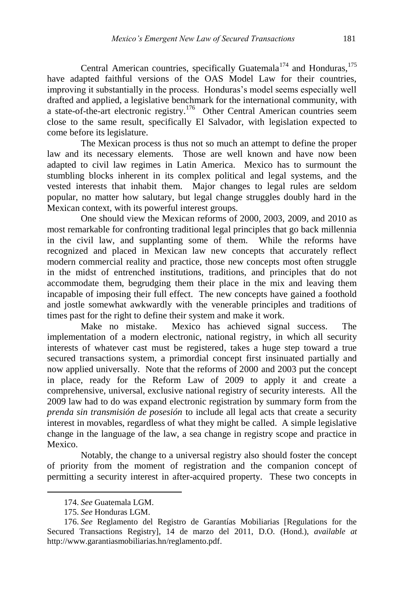Central American countries, specifically Guatemala<sup>174</sup> and Honduras,  $175$ have adapted faithful versions of the OAS Model Law for their countries, improving it substantially in the process. Honduras's model seems especially well drafted and applied, a legislative benchmark for the international community, with a state-of-the-art electronic registry.<sup>176</sup> Other Central American countries seem close to the same result, specifically El Salvador, with legislation expected to come before its legislature.

The Mexican process is thus not so much an attempt to define the proper law and its necessary elements. Those are well known and have now been adapted to civil law regimes in Latin America. Mexico has to surmount the stumbling blocks inherent in its complex political and legal systems, and the vested interests that inhabit them. Major changes to legal rules are seldom popular, no matter how salutary, but legal change struggles doubly hard in the Mexican context, with its powerful interest groups.

One should view the Mexican reforms of 2000, 2003, 2009, and 2010 as most remarkable for confronting traditional legal principles that go back millennia in the civil law, and supplanting some of them. While the reforms have recognized and placed in Mexican law new concepts that accurately reflect modern commercial reality and practice, those new concepts most often struggle in the midst of entrenched institutions, traditions, and principles that do not accommodate them, begrudging them their place in the mix and leaving them incapable of imposing their full effect. The new concepts have gained a foothold and jostle somewhat awkwardly with the venerable principles and traditions of times past for the right to define their system and make it work.

Make no mistake. Mexico has achieved signal success. The implementation of a modern electronic, national registry, in which all security interests of whatever cast must be registered, takes a huge step toward a true secured transactions system, a primordial concept first insinuated partially and now applied universally. Note that the reforms of 2000 and 2003 put the concept in place, ready for the Reform Law of 2009 to apply it and create a comprehensive, universal, exclusive national registry of security interests. All the 2009 law had to do was expand electronic registration by summary form from the *prenda sin transmisión de posesión* to include all legal acts that create a security interest in movables, regardless of what they might be called. A simple legislative change in the language of the law, a sea change in registry scope and practice in Mexico.

Notably, the change to a universal registry also should foster the concept of priority from the moment of registration and the companion concept of permitting a security interest in after-acquired property. These two concepts in

<sup>174.</sup> *See* Guatemala LGM.

<sup>175.</sup> *See* Honduras LGM.

<sup>176.</sup> *See* Reglamento del Registro de Garantías Mobiliarias [Regulations for the Secured Transactions Registry], 14 de marzo del 2011, D.O. (Hond.), *available at* http://www.garantiasmobiliarias.hn/reglamento.pdf.